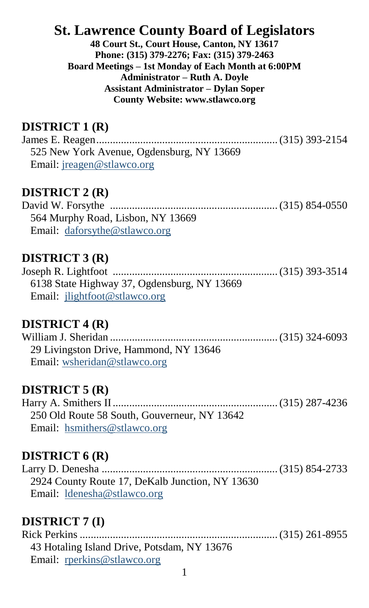# **St. Lawrence County Board of Legislators**

**48 Court St., Court House, Canton, NY 13617 Phone: (315) 379-2276; Fax: (315) 379-2463 Board Meetings – 1st Monday of Each Month at 6:00PM Administrator – Ruth A. Doyle Assistant Administrator – Dylan Soper County Website: www.stlawco.org**

## **DISTRICT 1 (R)**

James E. Reagen..................................................................(315) 393-2154 525 New York Avenue, Ogdensburg, NY 13669 Email[: jreagen@stlawco.org](mailto:jreagen@stlawco.org)

#### **DISTRICT 2 (R)**

David W. Forsythe ............................................................. (315) 854-0550 564 Murphy Road, Lisbon, NY 13669 Email: [daforsythe@stlawco.org](mailto:daforsythe@stlawco.org)

### **DISTRICT 3 (R)**

Joseph R. Lightfoot ............................................................ (315) 393-3514 6138 State Highway 37, Ogdensburg, NY 13669 Email: [jlightfoot@stlawco.org](mailto:jlightfoot@stlawco.org)

## **DISTRICT 4 (R)**

William J. Sheridan ............................................................. (315) 324-6093 29 Livingston Drive, Hammond, NY 13646 Email[: wsheridan@stlawco.org](mailto:wsheridan@stlawco.org) 

#### **DISTRICT 5 (R)**

Harry A. Smithers II............................................................ (315) 287-4236 250 Old Route 58 South, Gouverneur, NY 13642 Email: hsmithers@stlawco.org

### **DISTRICT 6 (R)**

Larry D. Denesha ................................................................ (315) 854-2733 2924 County Route 17, DeKalb Junction, NY 13630 Email: [ldenesha@stlawco.org](mailto:ldenesha@stlawco.org)

## **DISTRICT 7 (I)**

Rick Perkins ........................................................................ (315) 261-8955 43 Hotaling Island Drive, Potsdam, NY 13676 Email: [rperkins@stlawco.org](mailto:rperkins@stlawco.org)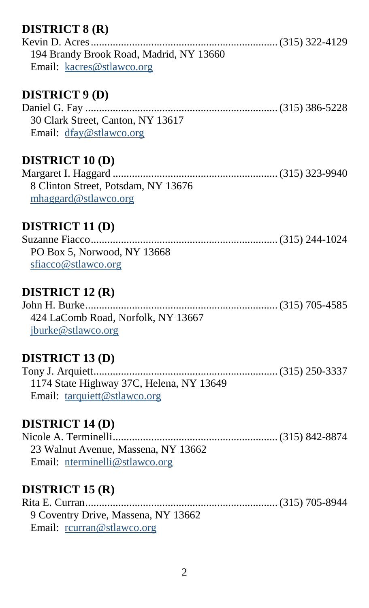## **DISTRICT 8 (R)**

| 194 Brandy Brook Road, Madrid, NY 13660 |  |
|-----------------------------------------|--|
| Email: kacres@stlawco.org               |  |

### **DISTRICT 9 (D)**

Daniel G. Fay ...................................................................... (315) 386-5228 30 Clark Street, Canton, NY 13617 Email: [dfay@stlawco.org](mailto:dfay@stlawco.org)

### **DISTRICT 10 (D)**

| 8 Clinton Street, Potsdam, NY 13676 |  |
|-------------------------------------|--|
| $m$ haggard@stlawco.org             |  |

### **DISTRICT 11 (D)**

| PO Box 5, Norwood, NY 13668 |  |
|-----------------------------|--|
| sfiacco@stlawco.org         |  |

## **DISTRICT 12 (R)**

John H. Burke...................................................................... (315) 705-4585 424 LaComb Road, Norfolk, NY 13667 [jburke@stlawco.org](mailto:jburke@stlawco.org)

## **DISTRICT 13 (D)**

Tony J. Arquiett...................................................................(315) 250-3337 1174 State Highway 37C, Helena, NY 13649 Email: [tarquiett@stlawco.org](mailto:tarquiett@stlawco.org)

#### **DISTRICT 14 (D)**

Nicole A. Terminelli............................................................ (315) 842-8874 23 Walnut Avenue, Massena, NY 13662 Email: [nterminelli@stlawco.org](mailto:nterminelli@stlawco.org)

## **DISTRICT 15 (R)**

Rita E. Curran...................................................................... (315) 705-8944 9 Coventry Drive, Massena, NY 13662 Email: [rcurran@stlawco.org](mailto:rcurran@stlawco.org)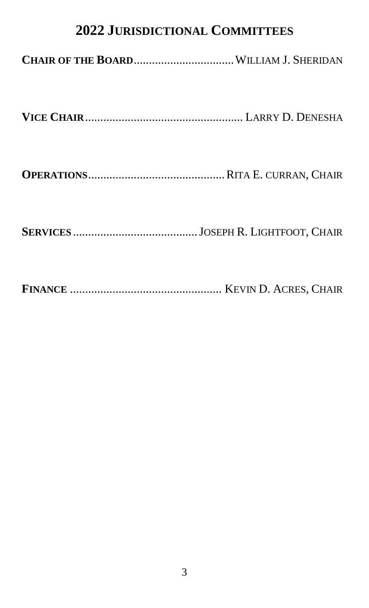# **2022 JURISDICTIONAL COMMITTEES**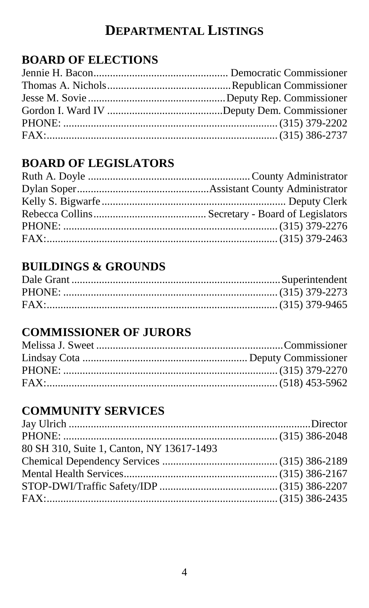# **DEPARTMENTAL LISTINGS**

## **BOARD OF ELECTIONS**

# **BOARD OF LEGISLATORS**

# **BUILDINGS & GROUNDS**

## **COMMISSIONER OF JURORS**

# **COMMUNITY SERVICES**

| 80 SH 310, Suite 1, Canton, NY 13617-1493 |  |
|-------------------------------------------|--|
|                                           |  |
|                                           |  |
|                                           |  |
|                                           |  |
|                                           |  |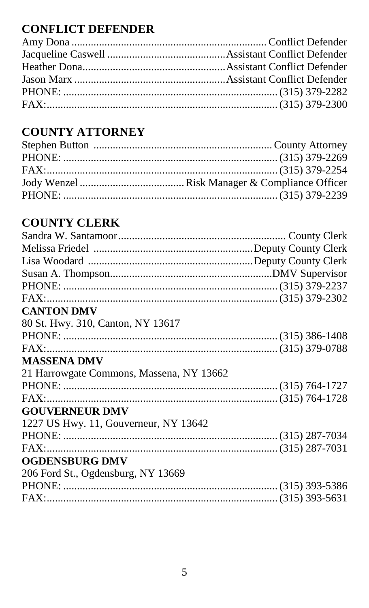# **CONFLICT DEFENDER**

# **COUNTY ATTORNEY**

# **COUNTY CLERK**

| FAX:                                     |  |
|------------------------------------------|--|
| <b>CANTON DMV</b>                        |  |
| 80 St. Hwy. 310, Canton, NY 13617        |  |
|                                          |  |
|                                          |  |
| <b>MASSENA DMV</b>                       |  |
| 21 Harrowgate Commons, Massena, NY 13662 |  |
|                                          |  |
|                                          |  |
| <b>GOUVERNEUR DMV</b>                    |  |
| 1227 US Hwy. 11, Gouverneur, NY 13642    |  |
|                                          |  |
| FAX:                                     |  |
| <b>OGDENSBURG DMV</b>                    |  |
| 206 Ford St., Ogdensburg, NY 13669       |  |
|                                          |  |
|                                          |  |
|                                          |  |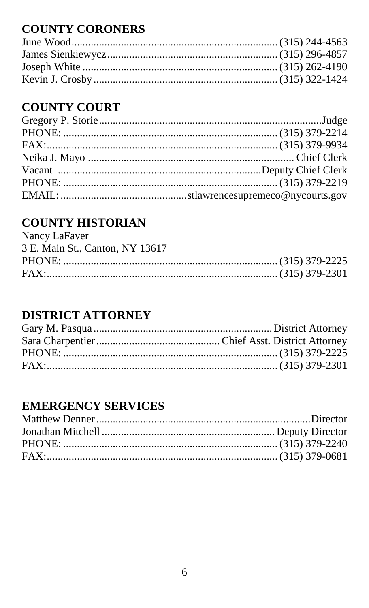# **COUNTY CORONERS**

## **COUNTY COURT**

# **COUNTY HISTORIAN**

| Nancy LaFaver                   |  |
|---------------------------------|--|
| 3 E. Main St., Canton, NY 13617 |  |
|                                 |  |
|                                 |  |

# **DISTRICT ATTORNEY**

## **EMERGENCY SERVICES**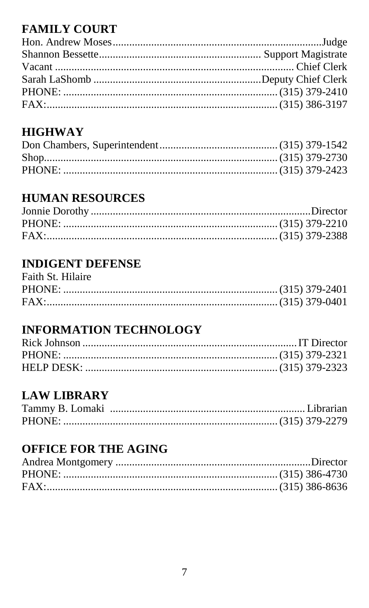# **FAMILY COURT**

## **HIGHWAY**

# **HUMAN RESOURCES**

## **INDIGENT DEFENSE**

| Faith St. Hilaire |  |
|-------------------|--|
|                   |  |
|                   |  |

# **INFORMATION TECHNOLOGY**

## **LAW LIBRARY**

# **OFFICE FOR THE AGING**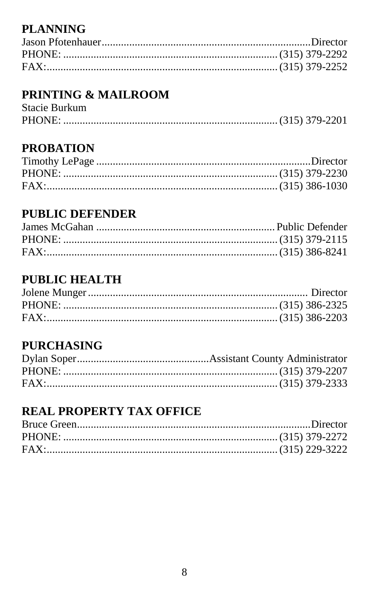# **PLANNING**

# **PRINTING & MAILROOM**

| Stacie Burkum |  |
|---------------|--|
|               |  |

## **PROBATION**

## **PUBLIC DEFENDER**

# **PUBLIC HEALTH**

# **PURCHASING**

## **REAL PROPERTY TAX OFFICE**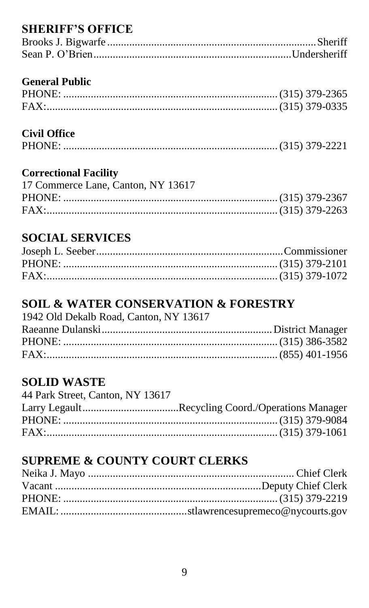## **SHERIFF'S OFFICE**

#### **General Public**

### **Civil Office**

|--|--|--|

## **Correctional Facility**

| 17 Commerce Lane, Canton, NY 13617 |  |
|------------------------------------|--|
|                                    |  |
|                                    |  |

## **SOCIAL SERVICES**

## **SOIL & WATER CONSERVATION & FORESTRY**

| 1942 Old Dekalb Road, Canton, NY 13617 |  |
|----------------------------------------|--|
|                                        |  |
|                                        |  |
|                                        |  |

## **SOLID WASTE**

| 44 Park Street, Canton, NY 13617 |  |
|----------------------------------|--|
|                                  |  |
|                                  |  |
|                                  |  |

# **SUPREME & COUNTY COURT CLERKS**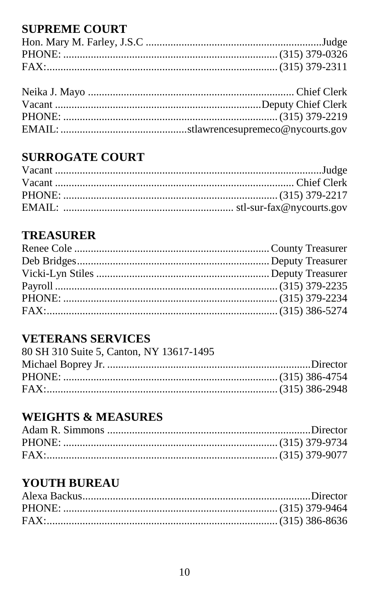## **SUPREME COURT**

# **SURROGATE COURT**

## **TREASURER**

# **VETERANS SERVICES**

| 80 SH 310 Suite 5, Canton, NY 13617-1495 |  |
|------------------------------------------|--|
|                                          |  |
|                                          |  |
|                                          |  |

# **WEIGHTS & MEASURES**

# **YOUTH BUREAU**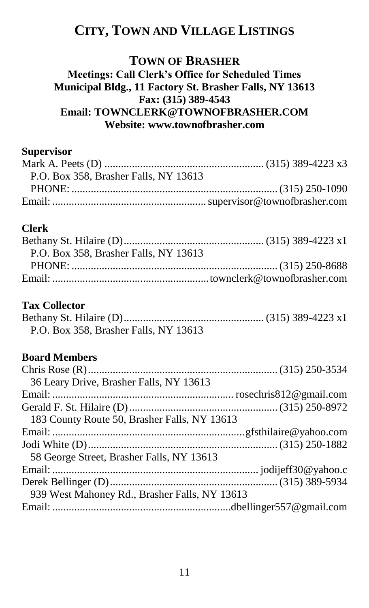# **CITY, TOWN AND VILLAGE LISTINGS**

### **TOWN OF BRASHER Meetings: Call Clerk's Office for Scheduled Times Municipal Bldg., 11 Factory St. Brasher Falls, NY 13613 Fax: (315) 389-4543 Email: TOWNCLERK@TOWNOFBRASHER.COM Website: www.townofbrasher.com**

### **Supervisor**

| P.O. Box 358. Brasher Falls, NY 13613 |  |
|---------------------------------------|--|
|                                       |  |
|                                       |  |

#### **Clerk**

| P.O. Box 358. Brasher Falls, NY 13613 |  |
|---------------------------------------|--|
|                                       |  |
|                                       |  |

#### **Tax Collector**

| P.O. Box 358. Brasher Falls, NY 13613 |  |
|---------------------------------------|--|

#### **Board Members**

| 36 Leary Drive, Brasher Falls, NY 13613       |  |
|-----------------------------------------------|--|
|                                               |  |
|                                               |  |
| 183 County Route 50, Brasher Falls, NY 13613  |  |
|                                               |  |
|                                               |  |
| 58 George Street, Brasher Falls, NY 13613     |  |
|                                               |  |
|                                               |  |
| 939 West Mahoney Rd., Brasher Falls, NY 13613 |  |
|                                               |  |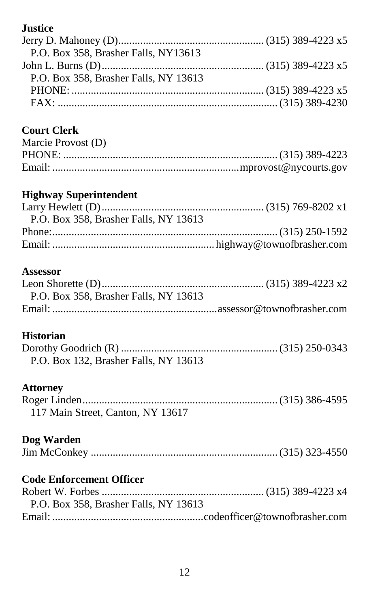## **Justice**

| P.O. Box 358. Brasher Falls, NY13613  |  |
|---------------------------------------|--|
|                                       |  |
| P.O. Box 358. Brasher Falls, NY 13613 |  |
|                                       |  |
|                                       |  |

## **Court Clerk**

| Marcie Provost (D) |  |
|--------------------|--|
|                    |  |
|                    |  |

## **Highway Superintendent**

| P.O. Box 358, Brasher Falls, NY 13613 |  |
|---------------------------------------|--|
|                                       |  |
|                                       |  |

### **Assessor**

| P.O. Box 358. Brasher Falls, NY 13613 |  |
|---------------------------------------|--|
|                                       |  |

## **Historian**

| P.O. Box 132, Brasher Falls, NY 13613 |  |
|---------------------------------------|--|

#### **Attorney**

| 117 Main Street, Canton, NY 13617 |  |
|-----------------------------------|--|

### **Dog Warden**

## **Code Enforcement Officer**

| P.O. Box 358. Brasher Falls, NY 13613 |  |
|---------------------------------------|--|
|                                       |  |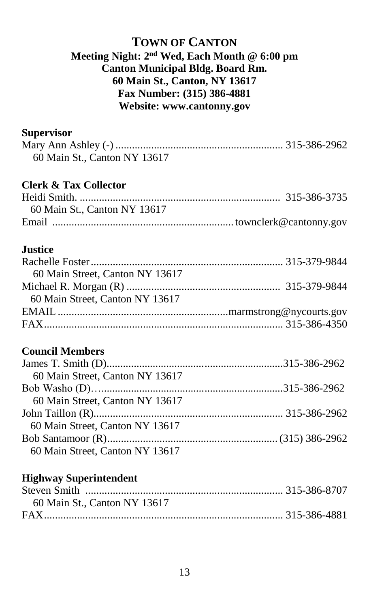#### **TOWN OF CANTON Meeting Night: 2nd Wed, Each Month @ 6:00 pm Canton Municipal Bldg. Board Rm. 60 Main St., Canton, NY 13617 Fax Number: (315) 386-4881 Website: www.cantonny.gov**

#### **Supervisor**

| 60 Main St., Canton NY 13617 |  |
|------------------------------|--|
|                              |  |

### **Clerk & Tax Collector**

| 60 Main St., Canton NY 13617 |  |
|------------------------------|--|
|                              |  |

#### **Justice**

### **Council Members**

| 60 Main Street, Canton NY 13617 |  |
|---------------------------------|--|
|                                 |  |
| 60 Main Street, Canton NY 13617 |  |
|                                 |  |
| 60 Main Street. Canton NY 13617 |  |
|                                 |  |
| 60 Main Street, Canton NY 13617 |  |

#### **Highway Superintendent**

| 60 Main St., Canton NY 13617 |  |
|------------------------------|--|
|                              |  |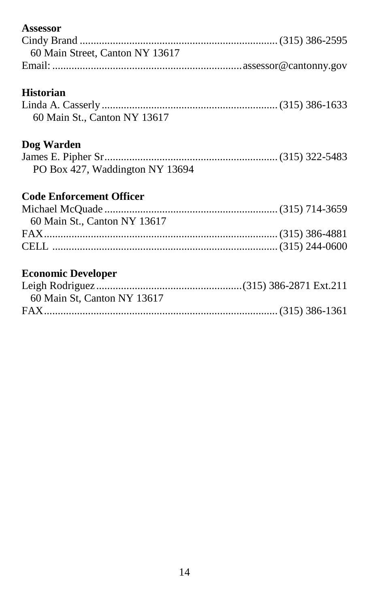| Assessor                        |  |
|---------------------------------|--|
|                                 |  |
| 60 Main Street, Canton NY 13617 |  |
|                                 |  |
| <b>Historian</b>                |  |
|                                 |  |
| 60 Main St., Canton NY 13617    |  |
| Dog Warden                      |  |
|                                 |  |
| PO Box 427, Waddington NY 13694 |  |
| <b>Code Enforcement Officer</b> |  |
|                                 |  |
| 60 Main St., Canton NY 13617    |  |
|                                 |  |
|                                 |  |
|                                 |  |
| <b>Economic Developer</b>       |  |
|                                 |  |
| 60 Main St, Canton NY 13617     |  |
|                                 |  |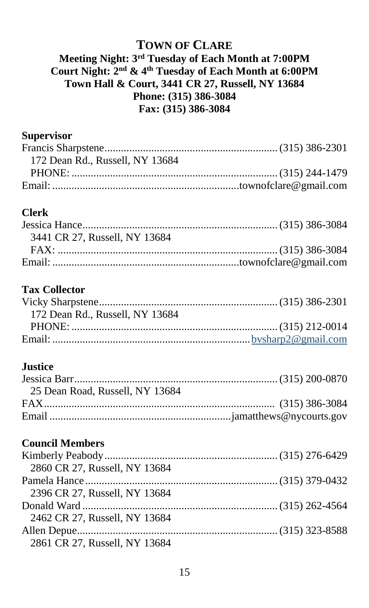#### **TOWN OF CLARE**

#### **Meeting Night: 3 rd Tuesday of Each Month at 7:00PM Court Night: 2 nd & 4th Tuesday of Each Month at 6:00PM Town Hall & Court, 3441 CR 27, Russell, NY 13684 Phone: (315) 386-3084 Fax: (315) 386-3084**

#### **Supervisor**

| 172 Dean Rd., Russell, NY 13684 |  |
|---------------------------------|--|
|                                 |  |
|                                 |  |

#### **Clerk**

| 3441 CR 27, Russell, NY 13684 |  |
|-------------------------------|--|
|                               |  |
|                               |  |

#### **Tax Collector**

| 172 Dean Rd., Russell, NY 13684 |  |
|---------------------------------|--|
|                                 |  |
|                                 |  |

#### **Justice**

| 25 Dean Road, Russell, NY 13684 |  |
|---------------------------------|--|
|                                 |  |
|                                 |  |

### **Council Members**

| 2860 CR 27, Russell, NY 13684 |  |
|-------------------------------|--|
|                               |  |
| 2396 CR 27, Russell, NY 13684 |  |
|                               |  |
| 2462 CR 27, Russell, NY 13684 |  |
|                               |  |
| 2861 CR 27, Russell, NY 13684 |  |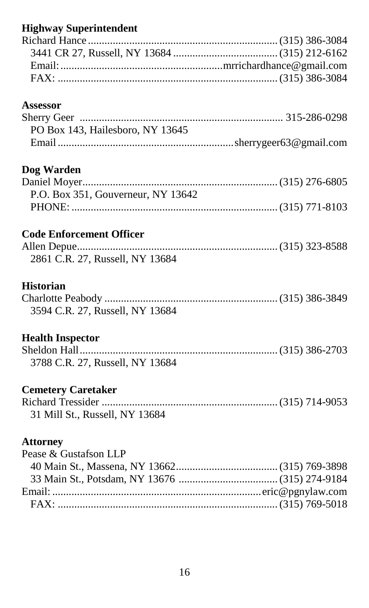# **Highway Superintendent**

### **Assessor**

| PO Box 143, Hailesboro, NY 13645 |  |
|----------------------------------|--|
|                                  |  |

### **Dog Warden**

| P.O. Box 351, Gouverneur, NY 13642 |  |
|------------------------------------|--|
|                                    |  |

### **Code Enforcement Officer**

| 2861 C.R. 27, Russell, NY 13684 |  |
|---------------------------------|--|

### **Historian**

| 3594 C.R. 27, Russell, NY 13684 |  |
|---------------------------------|--|

### **Health Inspector**

| 3788 C.R. 27, Russell, NY 13684 |  |
|---------------------------------|--|

## **Cemetery Caretaker**

| 31 Mill St., Russell, NY 13684 |  |
|--------------------------------|--|

### **Attorney**

| Pease & Gustafson LLP |  |
|-----------------------|--|
|                       |  |
|                       |  |
|                       |  |
|                       |  |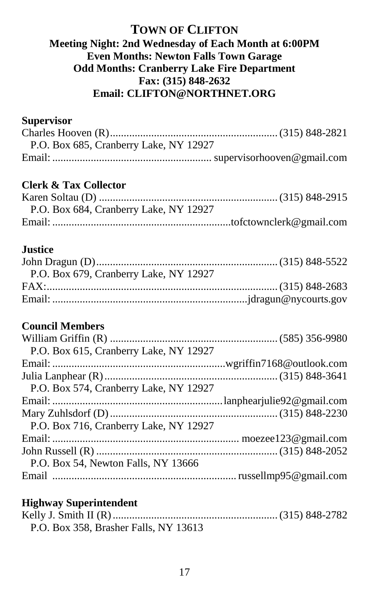#### **TOWN OF CLIFTON Meeting Night: 2nd Wednesday of Each Month at 6:00PM Even Months: Newton Falls Town Garage Odd Months: Cranberry Lake Fire Department Fax: (315) 848-2632 Email: CLIFTON@NORTHNET.ORG**

#### **Supervisor**

| P.O. Box 685, Cranberry Lake, NY 12927 |  |
|----------------------------------------|--|
|                                        |  |

### **Clerk & Tax Collector**

| P.O. Box 684, Cranberry Lake, NY 12927 |  |
|----------------------------------------|--|
|                                        |  |

#### **Justice**

| P.O. Box 679, Cranberry Lake, NY 12927 |  |
|----------------------------------------|--|
|                                        |  |
|                                        |  |
|                                        |  |

#### **Council Members**

| P.O. Box 615, Cranberry Lake, NY 12927 |  |
|----------------------------------------|--|
|                                        |  |
|                                        |  |
| P.O. Box 574, Cranberry Lake, NY 12927 |  |
|                                        |  |
|                                        |  |
| P.O. Box 716, Cranberry Lake, NY 12927 |  |
|                                        |  |
|                                        |  |
| P.O. Box 54, Newton Falls, NY 13666    |  |
|                                        |  |
|                                        |  |

#### **Highway Superintendent**

| P.O. Box 358, Brasher Falls, NY 13613 |  |
|---------------------------------------|--|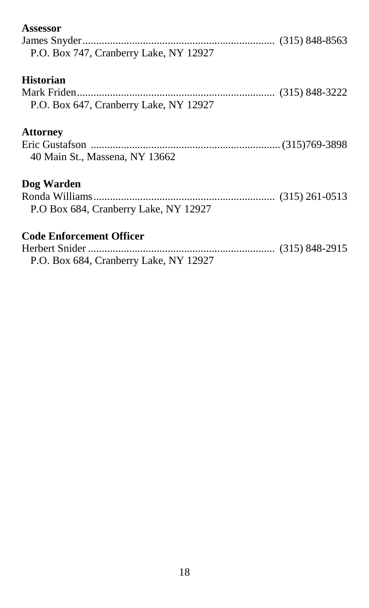| Assessor                               |  |
|----------------------------------------|--|
|                                        |  |
| P.O. Box 747, Cranberry Lake, NY 12927 |  |
| <b>Historian</b>                       |  |
|                                        |  |
| P.O. Box 647, Cranberry Lake, NY 12927 |  |
| <b>Attorney</b>                        |  |
|                                        |  |
| 40 Main St., Massena, NY 13662         |  |
| Dog Warden                             |  |
|                                        |  |
| P.O Box 684, Cranberry Lake, NY 12927  |  |
| <b>Code Enforcement Officer</b>        |  |
|                                        |  |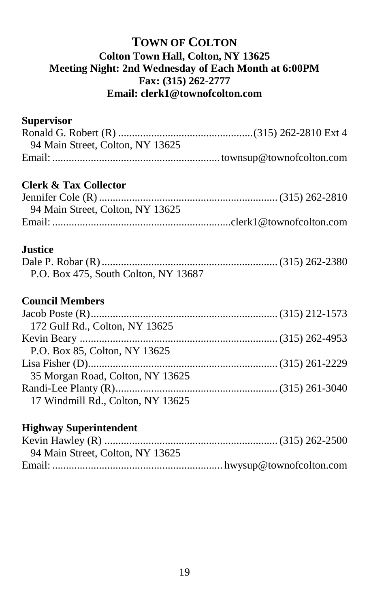### **TOWN OF COLTON Colton Town Hall, Colton, NY 13625 Meeting Night: 2nd Wednesday of Each Month at 6:00PM Fax: (315) 262-2777 Email: clerk1@townofcolton.com**

#### **Supervisor**

| 94 Main Street, Colton, NY 13625 |  |
|----------------------------------|--|
|                                  |  |

### **Clerk & Tax Collector**

| 94 Main Street, Colton, NY 13625 |  |
|----------------------------------|--|
|                                  |  |

#### **Justice**

| P.O. Box 475, South Colton, NY 13687 |  |
|--------------------------------------|--|

## **Council Members**

| 172 Gulf Rd., Colton, NY 13625    |  |
|-----------------------------------|--|
|                                   |  |
| P.O. Box 85, Colton, NY 13625     |  |
|                                   |  |
| 35 Morgan Road, Colton, NY 13625  |  |
|                                   |  |
| 17 Windmill Rd., Colton, NY 13625 |  |

#### **Highway Superintendent**

| 94 Main Street, Colton, NY 13625 |  |
|----------------------------------|--|
|                                  |  |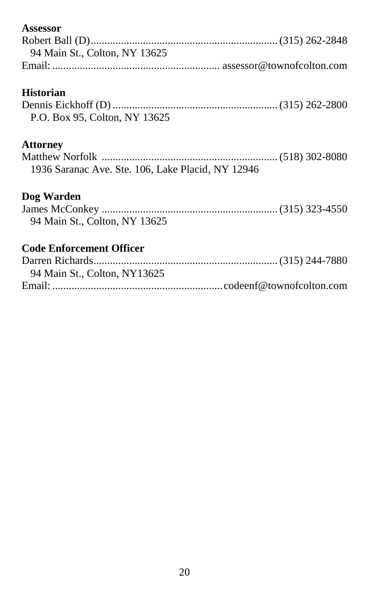| Assessor                                          |  |
|---------------------------------------------------|--|
|                                                   |  |
| 94 Main St., Colton, NY 13625                     |  |
|                                                   |  |
|                                                   |  |
| <b>Historian</b>                                  |  |
|                                                   |  |
| P.O. Box 95, Colton, NY 13625                     |  |
| <b>Attorney</b>                                   |  |
|                                                   |  |
| 1936 Saranac Ave. Ste. 106, Lake Placid, NY 12946 |  |
| Dog Warden                                        |  |
|                                                   |  |
|                                                   |  |
| 94 Main St., Colton, NY 13625                     |  |
| <b>Code Enforcement Officer</b>                   |  |
|                                                   |  |
| 94 Main St., Colton, NY13625                      |  |
|                                                   |  |
|                                                   |  |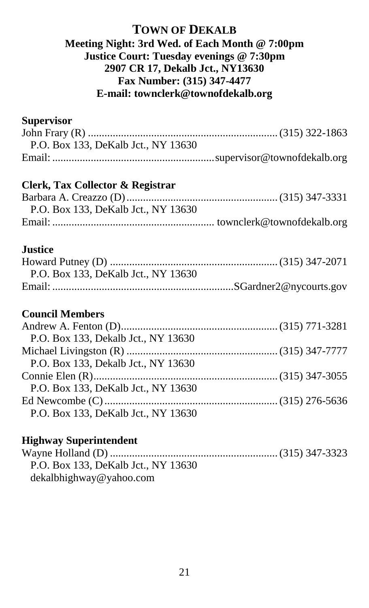### **TOWN OF DEKALB Meeting Night: 3rd Wed. of Each Month @ 7:00pm Justice Court: Tuesday evenings @ 7:30pm 2907 CR 17, Dekalb Jct., NY13630 Fax Number: (315) 347-4477 E-mail: townclerk@townofdekalb.org**

#### **Supervisor**

| P.O. Box 133, DeKalb Jct., NY 13630 |  |
|-------------------------------------|--|
|                                     |  |

#### **Clerk, Tax Collector & Registrar**

| P.O. Box 133, DeKalb Jct., NY 13630 |  |
|-------------------------------------|--|
|                                     |  |

### **Justice**

| P.O. Box 133, DeKalb Jct., NY 13630 |  |
|-------------------------------------|--|
|                                     |  |

### **Council Members**

| P.O. Box 133, Dekalb Jct., NY 13630 |  |
|-------------------------------------|--|
|                                     |  |
| P.O. Box 133, Dekalb Jct., NY 13630 |  |
|                                     |  |
| P.O. Box 133, DeKalb Jct., NY 13630 |  |
|                                     |  |
| P.O. Box 133, DeKalb Jct., NY 13630 |  |

### **Highway Superintendent**

Wayne Holland (D) ............................................................. (315) 347-3323 P.O. Box 133, DeKalb Jct., NY 13630 dekalbhighway@yahoo.com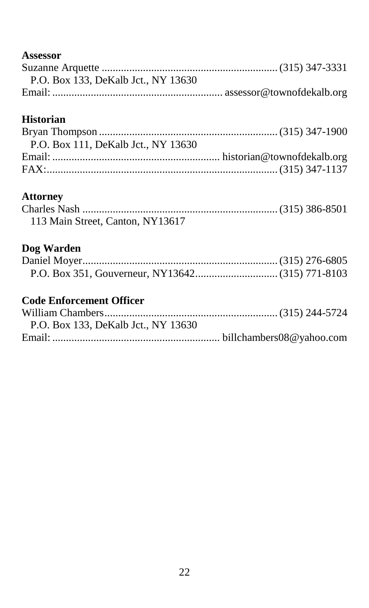### **Assessor**

| P.O. Box 133. DeKalb Jct., NY 13630 |  |
|-------------------------------------|--|
|                                     |  |

## **Historian**

| P.O. Box 111. DeKalb Jct NY 13630 |  |
|-----------------------------------|--|
|                                   |  |
|                                   |  |

#### **Attorney**

| 113 Main Street, Canton, NY13617 |  |
|----------------------------------|--|

## **Dog Warden**

## **Code Enforcement Officer**

| P.O. Box 133, DeKalb Jct., NY 13630 |  |
|-------------------------------------|--|
|                                     |  |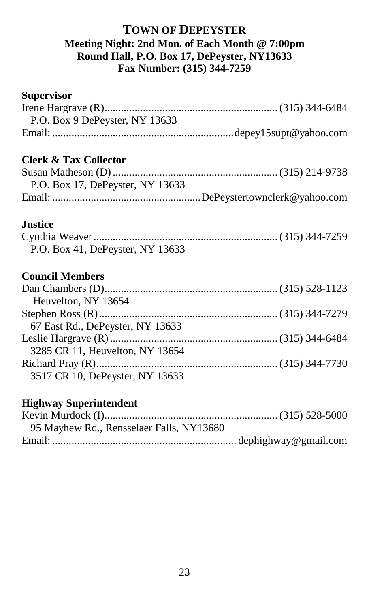#### **TOWN OF DEPEYSTER Meeting Night: 2nd Mon. of Each Month @ 7:00pm Round Hall, P.O. Box 17, DePeyster, NY13633 Fax Number: (315) 344-7259**

# **Supervisor** Irene Hargrave (R)............................................................... (315) 344-6484 P.O. Box 9 DePeyster, NY 13633 Email: ..................................................................depey15supt@yahoo.com **Clerk & Tax Collector** Susan Matheson (D)............................................................ (315) 214-9738 P.O. Box 17, DePeyster, NY 13633 Email: ......................................................DePeystertownclerk@yahoo.com **Justice** Cynthia Weaver...................................................................(315) 344-7259 P.O. Box 41, DePeyster, NY 13633 **Council Members** Dan Chambers (D)............................................................... (315) 528-1123 Heuvelton, NY 13654 Stephen Ross (R).................................................................(315) 344-7279 67 East Rd., DePeyster, NY 13633 Leslie Hargrave (R)............................................................. (315) 344-6484 3285 CR 11, Heuvelton, NY 13654 Richard Pray (R)..................................................................(315) 344-7730 3517 CR 10, DePeyster, NY 13633 **Highway Superintendent**

| 95 Mayhew Rd., Rensselaer Falls, NY13680 |  |
|------------------------------------------|--|
|                                          |  |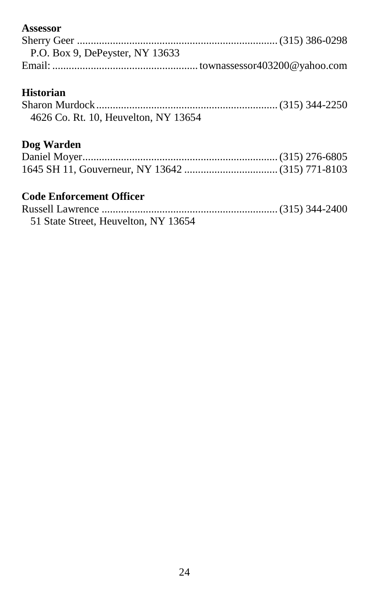### **Assessor**

| P.O. Box 9, DePeyster, NY 13633 |  |
|---------------------------------|--|
|                                 |  |

### **Historian**

| 4626 Co. Rt. 10, Heuvelton, NY 13654 |  |
|--------------------------------------|--|

## **Dog Warden**

## **Code Enforcement Officer**

| 51 State Street, Heuvelton, NY 13654 |  |
|--------------------------------------|--|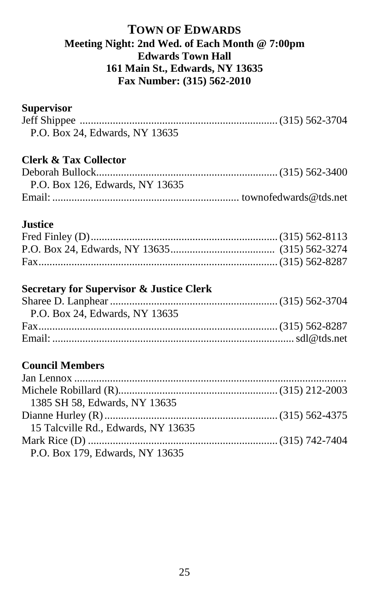### **TOWN OF EDWARDS Meeting Night: 2nd Wed. of Each Month @ 7:00pm Edwards Town Hall 161 Main St., Edwards, NY 13635 Fax Number: (315) 562-2010**

#### **Supervisor**

| P.O. Box 24, Edwards, NY 13635 |  |
|--------------------------------|--|

## **Clerk & Tax Collector**

| P.O. Box 126, Edwards, NY 13635 |  |
|---------------------------------|--|
|                                 |  |

#### **Justice**

#### **Secretary for Supervisor & Justice Clerk**

| P.O. Box 24, Edwards, NY 13635 |  |
|--------------------------------|--|
|                                |  |
|                                |  |
|                                |  |

## **Council Members**

| 1385 SH 58, Edwards, NY 13635       |  |
|-------------------------------------|--|
|                                     |  |
| 15 Talcville Rd., Edwards, NY 13635 |  |
|                                     |  |
| P.O. Box 179, Edwards, NY 13635     |  |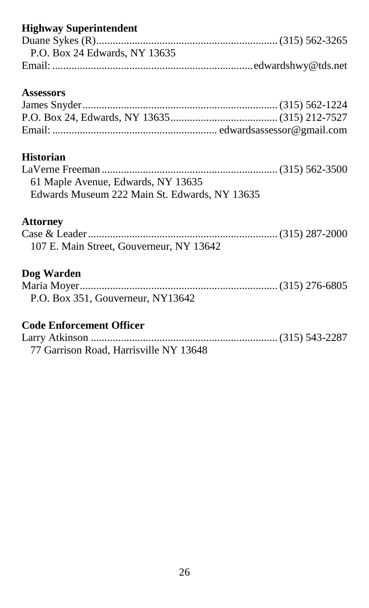## **Highway Superintendent**

| P.O. Box 24 Edwards, NY 13635 |  |
|-------------------------------|--|
|                               |  |

### **Assessors**

## **Historian**

| 61 Maple Avenue, Edwards, NY 13635            |  |
|-----------------------------------------------|--|
| Edwards Museum 222 Main St. Edwards, NY 13635 |  |

#### **Attorney**

| 107 E. Main Street, Gouverneur, NY 13642 |  |
|------------------------------------------|--|

## **Dog Warden**

| P.O. Box 351, Gouverneur, NY13642 |  |
|-----------------------------------|--|

## **Code Enforcement Officer**

| 77 Garrison Road, Harrisville NY 13648 |  |
|----------------------------------------|--|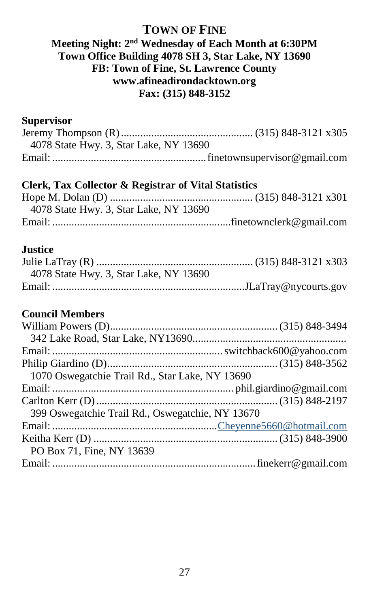#### **TOWN OF FINE Meeting Night: 2 nd Wednesday of Each Month at 6:30PM Town Office Building 4078 SH 3, Star Lake, NY 13690 FB: Town of Fine, St. Lawrence County www.afineadirondacktown.org Fax: (315) 848-3152**

#### **Supervisor**

| 4078 State Hwy. 3, Star Lake, NY 13690 |  |
|----------------------------------------|--|
|                                        |  |

#### **Clerk, Tax Collector & Registrar of Vital Statistics**

| 4078 State Hwy. 3, Star Lake, NY 13690 |  |
|----------------------------------------|--|
|                                        |  |

#### **Justice**

| 4078 State Hwy. 3, Star Lake, NY 13690 |  |
|----------------------------------------|--|
|                                        |  |

### **Council Members**

| 1070 Oswegatchie Trail Rd., Star Lake, NY 13690  |  |
|--------------------------------------------------|--|
|                                                  |  |
|                                                  |  |
| 399 Oswegatchie Trail Rd., Oswegatchie, NY 13670 |  |
|                                                  |  |
|                                                  |  |
| PO Box 71, Fine, NY 13639                        |  |
|                                                  |  |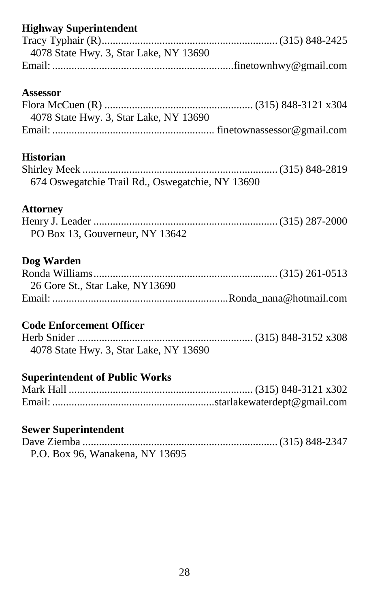## **Highway Superintendent**

| 4078 State Hwy. 3, Star Lake, NY 13690 |  |
|----------------------------------------|--|
|                                        |  |

#### **Assessor**

| 4078 State Hwy. 3, Star Lake, NY 13690 |  |
|----------------------------------------|--|
|                                        |  |

#### **Historian**

| 674 Oswegatchie Trail Rd., Oswegatchie, NY 13690 |  |
|--------------------------------------------------|--|

### **Attorney**

| PO Box 13. Gouverneur, NY 13642 |  |
|---------------------------------|--|

#### **Dog Warden**

| 26 Gore St., Star Lake, NY13690 |  |
|---------------------------------|--|
|                                 |  |

## **Code Enforcement Officer**

| 4078 State Hwy. 3, Star Lake, NY 13690 |  |
|----------------------------------------|--|

## **Superintendent of Public Works**

### **Sewer Superintendent**

| P.O. Box 96, Wanakena, NY 13695 |  |
|---------------------------------|--|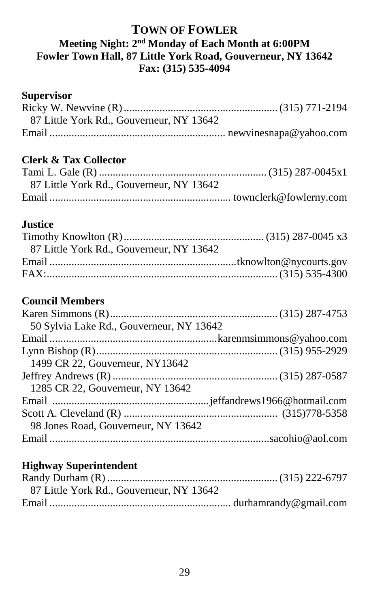### **TOWN OF FOWLER Meeting Night: 2 nd Monday of Each Month at 6:00PM Fowler Town Hall, 87 Little York Road, Gouverneur, NY 13642 Fax: (315) 535-4094**

#### **Supervisor**

| 87 Little York Rd., Gouverneur, NY 13642 |  |
|------------------------------------------|--|
|                                          |  |

## **Clerk & Tax Collector**

| 87 Little York Rd., Gouverneur, NY 13642 |  |
|------------------------------------------|--|
|                                          |  |

### **Justice**

| 87 Little York Rd., Gouverneur, NY 13642 |  |
|------------------------------------------|--|
|                                          |  |
|                                          |  |

## **Council Members**

| 50 Sylvia Lake Rd., Gouverneur, NY 13642 |  |
|------------------------------------------|--|
|                                          |  |
|                                          |  |
| 1499 CR 22, Gouverneur, NY13642          |  |
|                                          |  |
| 1285 CR 22, Gouverneur, NY 13642         |  |
|                                          |  |
|                                          |  |
| 98 Jones Road, Gouverneur, NY 13642      |  |
|                                          |  |

#### **Highway Superintendent**

| 87 Little York Rd., Gouverneur, NY 13642 |  |
|------------------------------------------|--|
|                                          |  |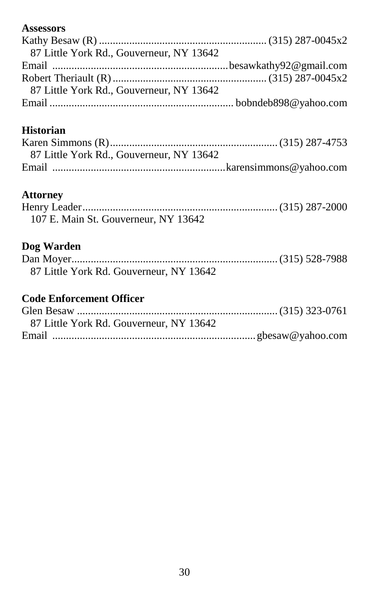### **Assessors**

| 87 Little York Rd., Gouverneur, NY 13642 |  |
|------------------------------------------|--|
|                                          |  |
|                                          |  |
| 87 Little York Rd., Gouverneur, NY 13642 |  |
|                                          |  |

## **Historian**

| 87 Little York Rd., Gouverneur, NY 13642 |  |
|------------------------------------------|--|
|                                          |  |

## **Attorney**

| 107 E. Main St. Gouverneur, NY 13642 |  |
|--------------------------------------|--|

## **Dog Warden**

| 87 Little York Rd. Gouverneur, NY 13642 |  |
|-----------------------------------------|--|

## **Code Enforcement Officer**

| 87 Little York Rd. Gouverneur, NY 13642 |  |
|-----------------------------------------|--|
|                                         |  |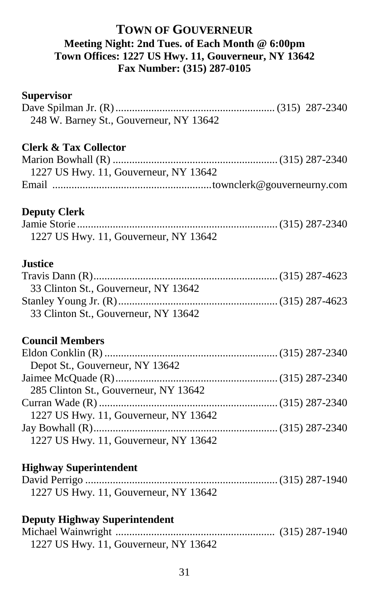### **TOWN OF GOUVERNEUR Meeting Night: 2nd Tues. of Each Month @ 6:00pm Town Offices: 1227 US Hwy. 11, Gouverneur, NY 13642 Fax Number: (315) 287-0105**

| <b>Supervisor</b>                       |  |
|-----------------------------------------|--|
|                                         |  |
| 248 W. Barney St., Gouverneur, NY 13642 |  |
| <b>Clerk &amp; Tax Collector</b>        |  |
|                                         |  |
| 1227 US Hwy. 11, Gouverneur, NY 13642   |  |
|                                         |  |
| <b>Deputy Clerk</b>                     |  |
|                                         |  |
| 1227 US Hwy. 11, Gouverneur, NY 13642   |  |
| <b>Justice</b>                          |  |
|                                         |  |
| 33 Clinton St., Gouverneur, NY 13642    |  |
|                                         |  |
| 33 Clinton St., Gouverneur, NY 13642    |  |
| <b>Council Members</b>                  |  |
|                                         |  |
| Depot St., Gouverneur, NY 13642         |  |
|                                         |  |
| 285 Clinton St., Gouverneur, NY 13642   |  |
|                                         |  |
| 1227 US Hwy. 11, Gouverneur, NY 13642   |  |
|                                         |  |
| 1227 US Hwy. 11, Gouverneur, NY 13642   |  |
| <b>Highway Superintendent</b>           |  |
|                                         |  |
| 1227 US Hwy. 11, Gouverneur, NY 13642   |  |
| <b>Deputy Highway Superintendent</b>    |  |
|                                         |  |

1227 US Hwy. 11, Gouverneur, NY 13642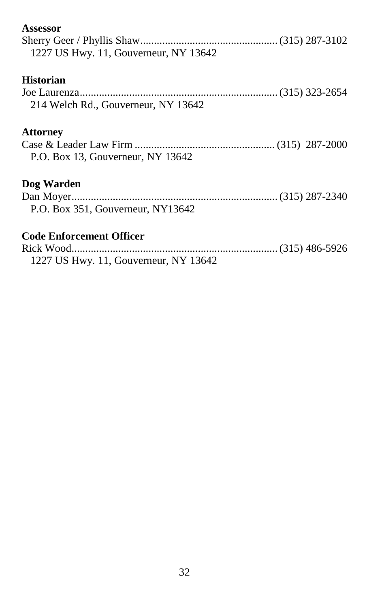| Assessor                              |
|---------------------------------------|
|                                       |
| 1227 US Hwy. 11, Gouverneur, NY 13642 |
| <b>Historian</b>                      |
|                                       |
| 214 Welch Rd., Gouverneur, NY 13642   |
| <b>Attorney</b>                       |
|                                       |
| P.O. Box 13, Gouverneur, NY 13642     |
| Dog Warden                            |
|                                       |
| P.O. Box 351, Gouverneur, NY13642     |
| <b>Code Enforcement Officer</b>       |
|                                       |
| 1227 US Hwy. 11, Gouverneur, NY 13642 |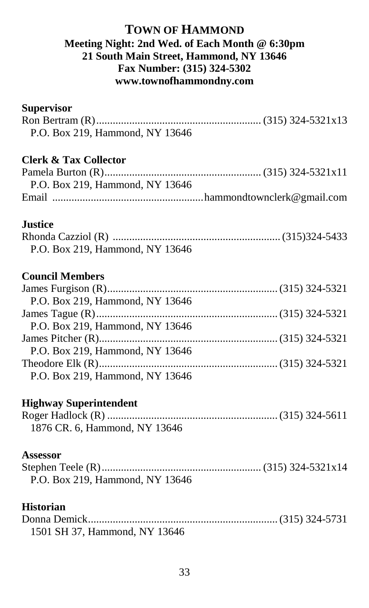#### **TOWN OF HAMMOND Meeting Night: 2nd Wed. of Each Month @ 6:30pm 21 South Main Street, Hammond, NY 13646 Fax Number: (315) 324-5302 www.townofhammondny.com**

### **Supervisor**

| P.O. Box 219, Hammond, NY 13646  |  |
|----------------------------------|--|
| <b>Clerk &amp; Tax Collector</b> |  |
|                                  |  |
| P.O. Box 219, Hammond, NY 13646  |  |
|                                  |  |
| <b>Justice</b>                   |  |
|                                  |  |
| P.O. Box 219, Hammond, NY 13646  |  |
| <b>Council Members</b>           |  |
|                                  |  |
| P.O. Box 219, Hammond, NY 13646  |  |
|                                  |  |
| P.O. Box 219, Hammond, NY 13646  |  |
|                                  |  |
| P.O. Box 219, Hammond, NY 13646  |  |
|                                  |  |
| P.O. Box 219, Hammond, NY 13646  |  |
| <b>Highway Superintendent</b>    |  |
|                                  |  |
| 1876 CR. 6, Hammond, NY 13646    |  |
| <b>Assessor</b>                  |  |
| P.O. Box 219, Hammond, NY 13646  |  |
| <b>Historian</b>                 |  |
| 1501 SH 37, Hammond, NY 13646    |  |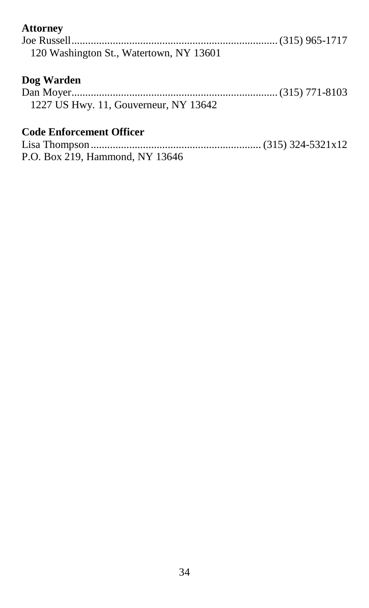### **Attorney**

| 120 Washington St., Watertown, NY 13601             |  |
|-----------------------------------------------------|--|
| Dog Warden<br>1227 US Hwy. 11, Gouverneur, NY 13642 |  |
| <b>Code Enforcement Officer</b>                     |  |

P.O. Box 219, Hammond, NY 13646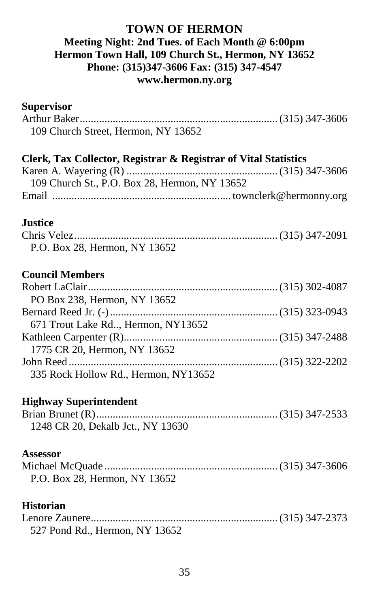#### **TOWN OF HERMON Meeting Night: 2nd Tues. of Each Month @ 6:00pm Hermon Town Hall, 109 Church St., Hermon, NY 13652 Phone: (315)347-3606 Fax: (315) 347-4547 www.hermon.ny.org**

| <b>Supervisor</b>                                               |  |
|-----------------------------------------------------------------|--|
|                                                                 |  |
| 109 Church Street, Hermon, NY 13652                             |  |
| Clerk, Tax Collector, Registrar & Registrar of Vital Statistics |  |
|                                                                 |  |
| 109 Church St., P.O. Box 28, Hermon, NY 13652                   |  |
|                                                                 |  |
| <b>Justice</b>                                                  |  |
|                                                                 |  |
| P.O. Box 28, Hermon, NY 13652                                   |  |
| <b>Council Members</b>                                          |  |
|                                                                 |  |
| PO Box 238, Hermon, NY 13652                                    |  |
|                                                                 |  |
| 671 Trout Lake Rd, Hermon, NY13652                              |  |
|                                                                 |  |
| 1775 CR 20, Hermon, NY 13652                                    |  |
|                                                                 |  |
| 335 Rock Hollow Rd., Hermon, NY13652                            |  |
| <b>Highway Superintendent</b>                                   |  |
|                                                                 |  |
| 1248 CR 20, Dekalb Jct., NY 13630                               |  |
| <b>Assessor</b>                                                 |  |
|                                                                 |  |
| P.O. Box 28, Hermon, NY 13652                                   |  |
| <b>Historian</b>                                                |  |
|                                                                 |  |
| 527 Pond Rd., Hermon, NY 13652                                  |  |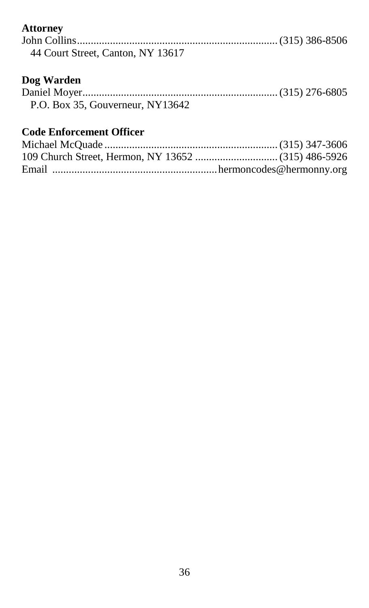### **Attorney**

| 44 Court Street, Canton, NY 13617 |  |
|-----------------------------------|--|

### **Dog Warden**

| P.O. Box 35, Gouverneur, NY13642 |  |
|----------------------------------|--|

## **Code Enforcement Officer**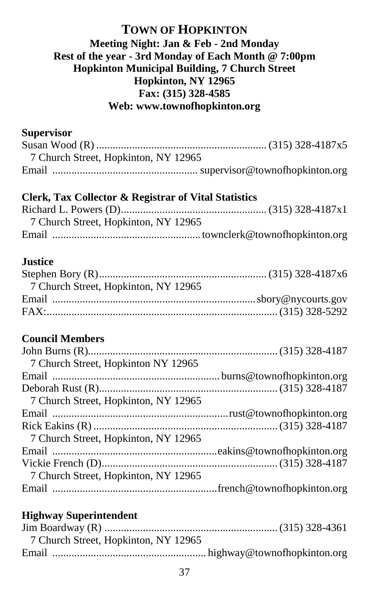## **TOWN OF HOPKINTON Meeting Night: Jan & Feb - 2nd Monday Rest of the year - 3rd Monday of Each Month @ 7:00pm Hopkinton Municipal Building, 7 Church Street Hopkinton, NY 12965 Fax: (315) 328-4585 Web: www.townofhopkinton.org**

#### **Supervisor**

| 7 Church Street, Hopkinton, NY 12965 |  |
|--------------------------------------|--|
|                                      |  |

#### **Clerk, Tax Collector & Registrar of Vital Statistics**

| 7 Church Street, Hopkinton, NY 12965 |  |
|--------------------------------------|--|
|                                      |  |

#### **Justice**

| 7 Church Street, Hopkinton, NY 12965 |  |
|--------------------------------------|--|
|                                      |  |
|                                      |  |

## **Council Members**

| 7 Church Street, Hopkinton NY 12965  |  |
|--------------------------------------|--|
|                                      |  |
|                                      |  |
| 7 Church Street, Hopkinton, NY 12965 |  |
|                                      |  |
|                                      |  |
| 7 Church Street, Hopkinton, NY 12965 |  |
|                                      |  |
|                                      |  |
| 7 Church Street, Hopkinton, NY 12965 |  |
|                                      |  |
|                                      |  |

| 7 Church Street, Hopkinton, NY 12965 |  |
|--------------------------------------|--|
|                                      |  |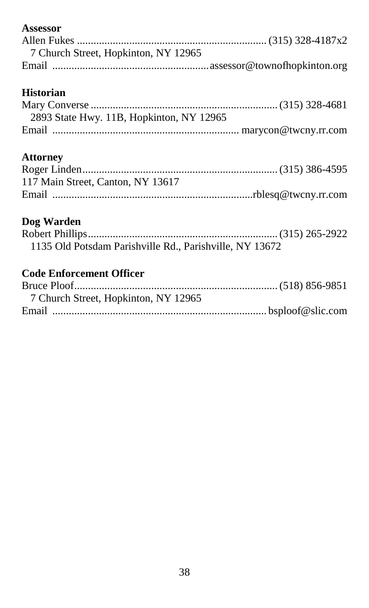# **Assessor**

| 7 Church Street, Hopkinton, NY 12965 |  |
|--------------------------------------|--|
|                                      |  |

# **Historian**

| 2893 State Hwy. 11B, Hopkinton, NY 12965 |  |
|------------------------------------------|--|
|                                          |  |

## **Attorney**

| 117 Main Street, Canton, NY 13617 |  |
|-----------------------------------|--|
|                                   |  |

# **Dog Warden**

| 1135 Old Potsdam Parishville Rd., Parishville, NY 13672 |  |
|---------------------------------------------------------|--|

| 7 Church Street, Hopkinton, NY 12965 |  |
|--------------------------------------|--|
|                                      |  |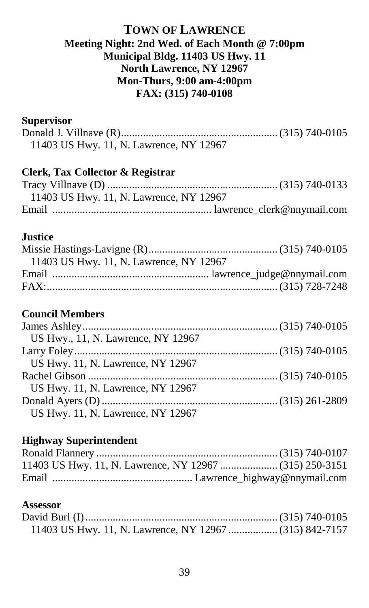## **TOWN OF LAWRENCE Meeting Night: 2nd Wed. of Each Month @ 7:00pm Municipal Bldg. 11403 US Hwy. 11 North Lawrence, NY 12967 Mon-Thurs, 9:00 am-4:00pm FAX: (315) 740-0108**

#### **Supervisor**

| 11403 US Hwy. 11, N. Lawrence, NY 12967 |  |
|-----------------------------------------|--|

# **Clerk, Tax Collector & Registrar**

| 11403 US Hwy. 11, N. Lawrence, NY 12967 |
|-----------------------------------------|
|                                         |

#### **Justice**

| 11403 US Hwy. 11, N. Lawrence, NY 12967 |  |
|-----------------------------------------|--|
|                                         |  |
|                                         |  |
|                                         |  |

#### **Council Members**

| US Hwy., 11, N. Lawrence, NY 12967 |  |
|------------------------------------|--|
|                                    |  |
| US Hwy. 11, N. Lawrence, NY 12967  |  |
|                                    |  |
| US Hwy. 11, N. Lawrence, NY 12967  |  |
|                                    |  |
| US Hwy. 11, N. Lawrence, NY 12967  |  |

#### **Highway Superintendent**

#### **Assessor**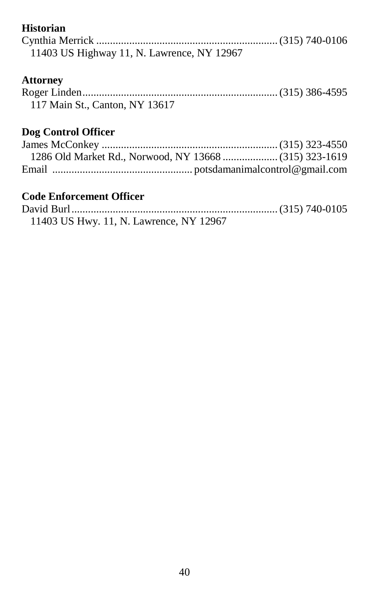# **Historian**

| 11403 US Highway 11, N. Lawrence, NY 12967 |  |
|--------------------------------------------|--|

# **Attorney**

| 117 Main St., Canton, NY 13617 |  |
|--------------------------------|--|

# **Dog Control Officer**

| 11403 US Hwy. 11, N. Lawrence, NY 12967 |  |
|-----------------------------------------|--|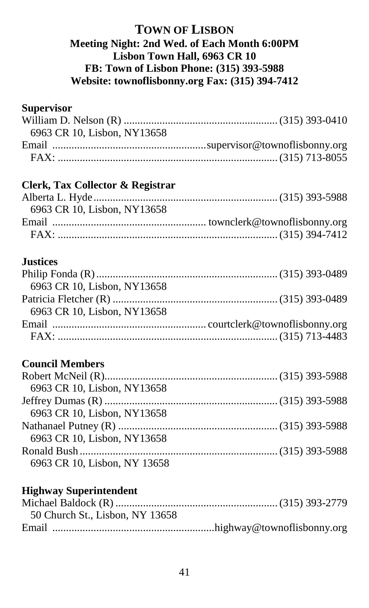## **TOWN OF LISBON Meeting Night: 2nd Wed. of Each Month 6:00PM Lisbon Town Hall, 6963 CR 10 FB: Town of Lisbon Phone: (315) 393-5988 Website: townoflisbonny.org Fax: (315) 394-7412**

## **Supervisor**

| 6963 CR 10, Lisbon, NY13658 |  |
|-----------------------------|--|
|                             |  |
|                             |  |
|                             |  |

# **Clerk, Tax Collector & Registrar**

| 6963 CR 10, Lisbon, NY13658 |  |
|-----------------------------|--|
|                             |  |
|                             |  |

## **Justices**

| 6963 CR 10, Lisbon, NY13658 |  |
|-----------------------------|--|
|                             |  |
| 6963 CR 10, Lisbon, NY13658 |  |
|                             |  |
|                             |  |

# **Council Members**

| 6963 CR 10, Lisbon, NY13658  |  |
|------------------------------|--|
|                              |  |
| 6963 CR 10, Lisbon, NY13658  |  |
|                              |  |
| 6963 CR 10, Lisbon, NY13658  |  |
|                              |  |
| 6963 CR 10, Lisbon, NY 13658 |  |

| 50 Church St., Lisbon, NY 13658 |  |
|---------------------------------|--|
|                                 |  |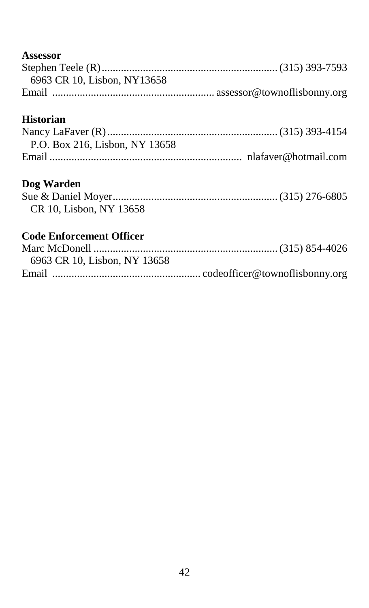# **Assessor**

| 6963 CR 10, Lisbon, NY13658 |  |
|-----------------------------|--|
|                             |  |

# **Historian**

| P.O. Box 216, Lisbon, NY 13658 |  |
|--------------------------------|--|
|                                |  |

## **Dog Warden**

| CR 10, Lisbon, NY 13658 |  |
|-------------------------|--|

| 6963 CR 10. Lisbon, NY 13658 |  |
|------------------------------|--|
|                              |  |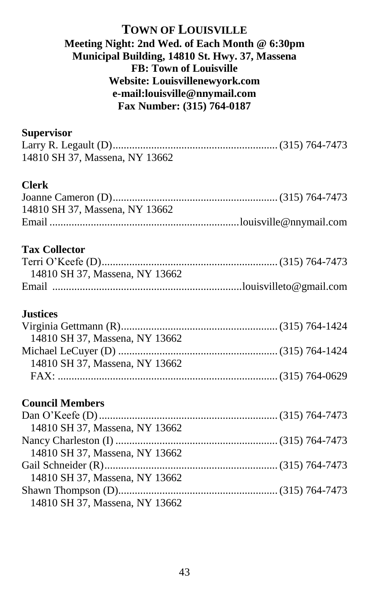### **TOWN OF LOUISVILLE Meeting Night: 2nd Wed. of Each Month @ 6:30pm Municipal Building, 14810 St. Hwy. 37, Massena FB: Town of Louisville Website: Louisvillenewyork.com e-mail:louisville@nnymail.com Fax Number: (315) 764-0187**

#### **Supervisor**

| 14810 SH 37, Massena, NY 13662 |  |
|--------------------------------|--|

## **Clerk**

| 14810 SH 37. Massena, NY 13662 |  |
|--------------------------------|--|
|                                |  |

### **Tax Collector**

| 14810 SH 37, Massena, NY 13662 |  |
|--------------------------------|--|
|                                |  |

#### **Justices**

| 14810 SH 37. Massena. NY 13662 |  |
|--------------------------------|--|
|                                |  |
| 14810 SH 37, Massena, NY 13662 |  |
|                                |  |

#### **Council Members**

| 14810 SH 37, Massena, NY 13662 |  |
|--------------------------------|--|
|                                |  |
| 14810 SH 37, Massena, NY 13662 |  |
|                                |  |
| 14810 SH 37, Massena, NY 13662 |  |
|                                |  |
| 14810 SH 37, Massena, NY 13662 |  |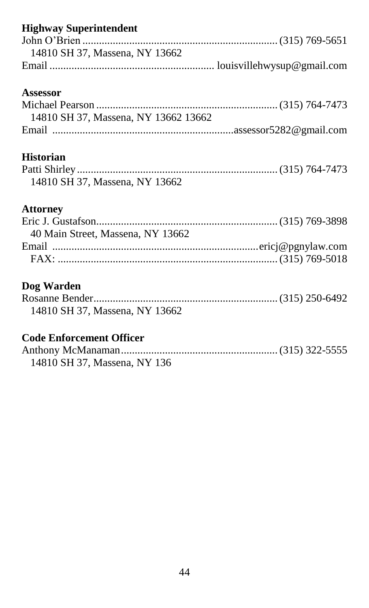| <b>Highway Superintendent</b><br>14810 SH 37, Massena, NY 13662 |
|-----------------------------------------------------------------|
| Assessor<br>14810 SH 37, Massena, NY 13662 13662                |
| <b>Historian</b><br>14810 SH 37, Massena, NY 13662              |
| <b>Attorney</b><br>40 Main Street, Massena, NY 13662            |
| Dog Warden<br>14810 SH 37, Massena, NY 13662                    |

| 14810 SH 37, Massena, NY 136 |  |
|------------------------------|--|
|                              |  |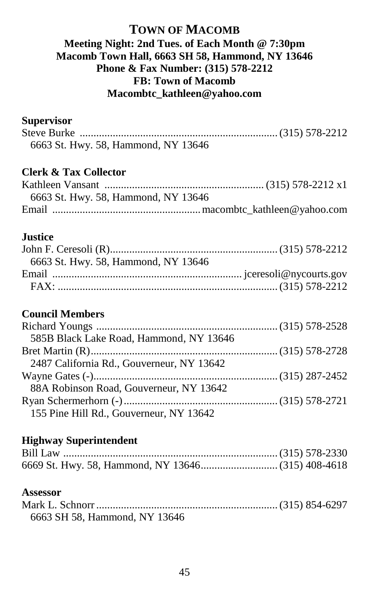## **TOWN OF MACOMB Meeting Night: 2nd Tues. of Each Month @ 7:30pm Macomb Town Hall, 6663 SH 58, Hammond, NY 13646 Phone & Fax Number: (315) 578-2212 FB: Town of Macomb Macombtc\_kathleen@yahoo.com**

#### **Supervisor**

| 6663 St. Hwy. 58, Hammond, NY 13646 |  |
|-------------------------------------|--|

## **Clerk & Tax Collector**

| 6663 St. Hwy. 58, Hammond, NY 13646 |  |
|-------------------------------------|--|
|                                     |  |

#### **Justice**

| 6663 St. Hwy. 58, Hammond, NY 13646 |  |
|-------------------------------------|--|
|                                     |  |
|                                     |  |
|                                     |  |

## **Council Members**

| 585B Black Lake Road, Hammond, NY 13646   |  |
|-------------------------------------------|--|
|                                           |  |
| 2487 California Rd., Gouverneur, NY 13642 |  |
|                                           |  |
| 88A Robinson Road, Gouverneur, NY 13642   |  |
|                                           |  |
| 155 Pine Hill Rd., Gouverneur, NY 13642   |  |

#### **Highway Superintendent**

#### **Assessor**

| 6663 SH 58, Hammond, NY 13646 |  |
|-------------------------------|--|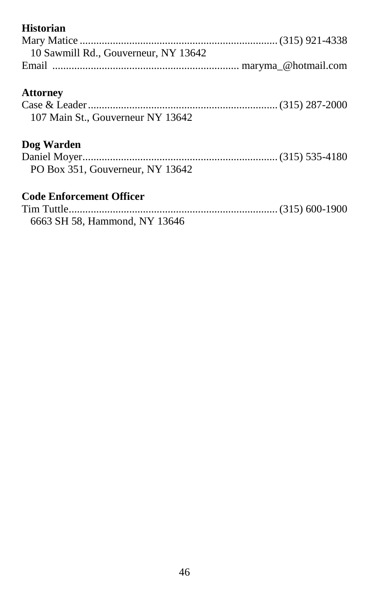| <b>Historian</b>                     |  |
|--------------------------------------|--|
|                                      |  |
| 10 Sawmill Rd., Gouverneur, NY 13642 |  |
|                                      |  |
| <b>Attorney</b>                      |  |
|                                      |  |
| 107 Main St., Gouverneur NY 13642    |  |
| Dog Warden                           |  |
|                                      |  |
| PO Box 351, Gouverneur, NY 13642     |  |
| <b>Code Enforcement Officer</b>      |  |
|                                      |  |

6663 SH 58, Hammond, NY 13646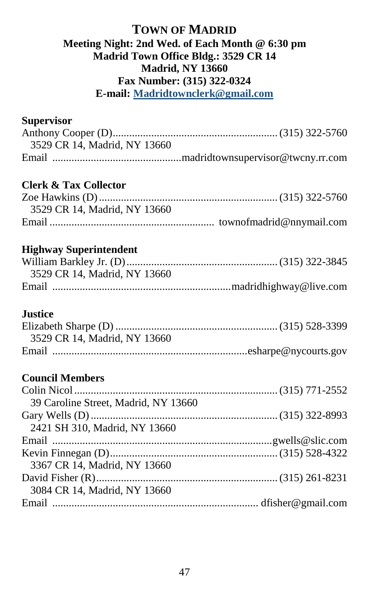### **TOWN OF MADRID Meeting Night: 2nd Wed. of Each Month @ 6:30 pm Madrid Town Office Bldg.: 3529 CR 14 Madrid, NY 13660 Fax Number: (315) 322-0324 E-mail: [Madridtownclerk@gmail.com](mailto:Madridtownclerk@gmail.com)**

# **Supervisor**

| 3529 CR 14, Madrid, NY 13660 |  |
|------------------------------|--|
|                              |  |

## **Clerk & Tax Collector**

| 3529 CR 14, Madrid, NY 13660 |  |
|------------------------------|--|
|                              |  |

## **Highway Superintendent**

| 3529 CR 14. Madrid. NY 13660 |  |
|------------------------------|--|
|                              |  |

#### **Justice**

| 3529 CR 14, Madrid, NY 13660 |  |
|------------------------------|--|
|                              |  |

# **Council Members**

| 39 Caroline Street, Madrid, NY 13660 |  |
|--------------------------------------|--|
|                                      |  |
| 2421 SH 310, Madrid, NY 13660        |  |
|                                      |  |
|                                      |  |
| 3367 CR 14, Madrid, NY 13660         |  |
|                                      |  |
| 3084 CR 14, Madrid, NY 13660         |  |
|                                      |  |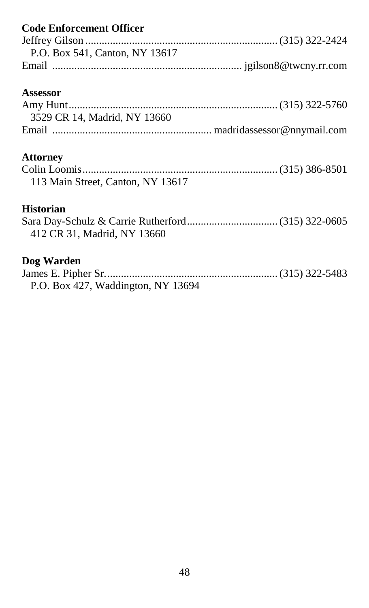| <b>Code Enforcement Officer</b>    |
|------------------------------------|
|                                    |
| P.O. Box 541, Canton, NY 13617     |
|                                    |
| Assessor                           |
|                                    |
| 3529 CR 14, Madrid, NY 13660       |
|                                    |
| <b>Attorney</b>                    |
|                                    |
| 113 Main Street, Canton, NY 13617  |
| <b>Historian</b>                   |
|                                    |
| 412 CR 31, Madrid, NY 13660        |
| Dog Warden                         |
|                                    |
| P.O. Box 427, Waddington, NY 13694 |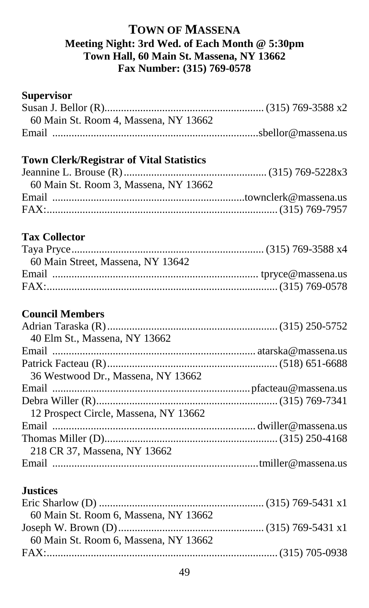## **TOWN OF MASSENA Meeting Night: 3rd Wed. of Each Month @ 5:30pm Town Hall, 60 Main St. Massena, NY 13662 Fax Number: (315) 769-0578**

#### **Supervisor**

| 60 Main St. Room 4, Massena, NY 13662 |  |
|---------------------------------------|--|
|                                       |  |

#### **Town Clerk/Registrar of Vital Statistics**

| 60 Main St. Room 3. Massena. NY 13662 |  |
|---------------------------------------|--|
|                                       |  |
|                                       |  |

## **Tax Collector**

| 60 Main Street, Massena, NY 13642 |  |
|-----------------------------------|--|
|                                   |  |
|                                   |  |
|                                   |  |

# **Council Members**

| 40 Elm St., Massena, NY 13662         |  |
|---------------------------------------|--|
|                                       |  |
|                                       |  |
| 36 Westwood Dr., Massena, NY 13662    |  |
|                                       |  |
|                                       |  |
| 12 Prospect Circle, Massena, NY 13662 |  |
|                                       |  |
|                                       |  |
| 218 CR 37, Massena, NY 13662          |  |
|                                       |  |

### **Justices**

| 60 Main St. Room 6, Massena, NY 13662 |  |
|---------------------------------------|--|
|                                       |  |
| 60 Main St. Room 6. Massena. NY 13662 |  |
|                                       |  |
|                                       |  |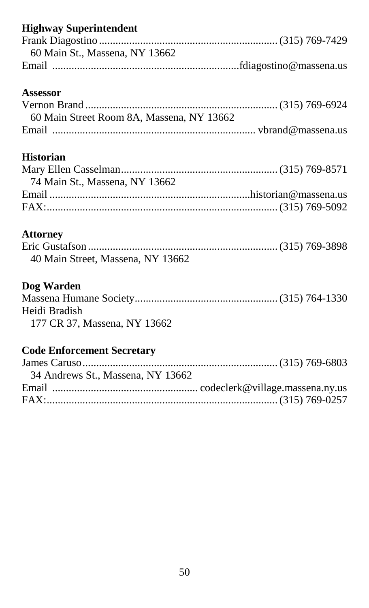# **Highway Superintendent**

| 60 Main St., Massena, NY 13662 |  |
|--------------------------------|--|
|                                |  |

#### **Assessor**

| 60 Main Street Room 8A, Massena, NY 13662 |  |
|-------------------------------------------|--|
|                                           |  |

# **Historian**

## **Attorney**

| 40 Main Street, Massena, NY 13662 |  |
|-----------------------------------|--|

# **Dog Warden**

| Heidi Bradish |  |
|---------------|--|
| $        -$   |  |

### 177 CR 37, Massena, NY 13662

# **Code Enforcement Secretary**

| 34 Andrews St., Massena, NY 13662 |  |
|-----------------------------------|--|
|                                   |  |
|                                   |  |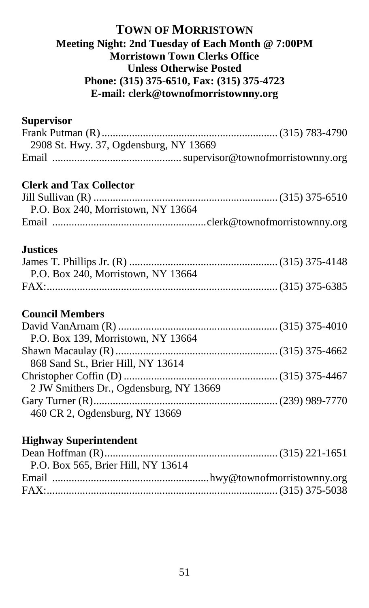### **TOWN OF MORRISTOWN Meeting Night: 2nd Tuesday of Each Month @ 7:00PM Morristown Town Clerks Office Unless Otherwise Posted Phone: (315) 375-6510, Fax: (315) 375-4723 E-mail: clerk@townofmorristownny.org**

# **Supervisor**

| 2908 St. Hwy. 37, Ogdensburg, NY 13669 |  |
|----------------------------------------|--|
|                                        |  |

# **Clerk and Tax Collector**

| P.O. Box 240, Morristown, NY 13664 |  |
|------------------------------------|--|
|                                    |  |

## **Justices**

| P.O. Box 240, Morristown, NY 13664 |  |
|------------------------------------|--|
|                                    |  |

## **Council Members**

| P.O. Box 139, Morristown, NY 13664      |  |
|-----------------------------------------|--|
|                                         |  |
| 868 Sand St., Brier Hill, NY 13614      |  |
|                                         |  |
| 2 JW Smithers Dr., Ogdensburg, NY 13669 |  |
|                                         |  |
| 460 CR 2, Ogdensburg, NY 13669          |  |

| P.O. Box 565, Brier Hill, NY 13614 |  |
|------------------------------------|--|
|                                    |  |
|                                    |  |
|                                    |  |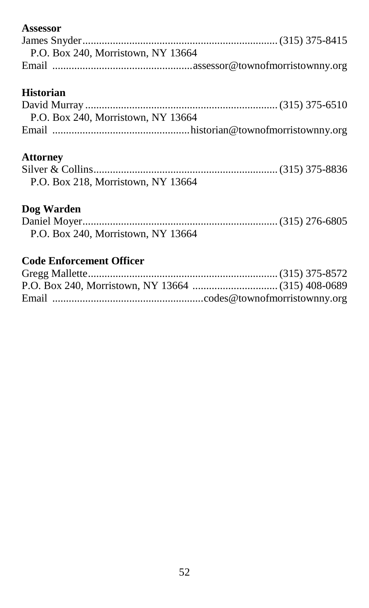## **Assessor**

| P.O. Box 240, Morristown, NY 13664 |
|------------------------------------|
|                                    |

# **Historian**

| P.O. Box 240, Morristown, NY 13664 |
|------------------------------------|
|                                    |

#### **Attorney**

| P.O. Box 218, Morristown, NY 13664 |  |
|------------------------------------|--|

# **Dog Warden**

| P.O. Box 240. Morristown, NY 13664 |  |
|------------------------------------|--|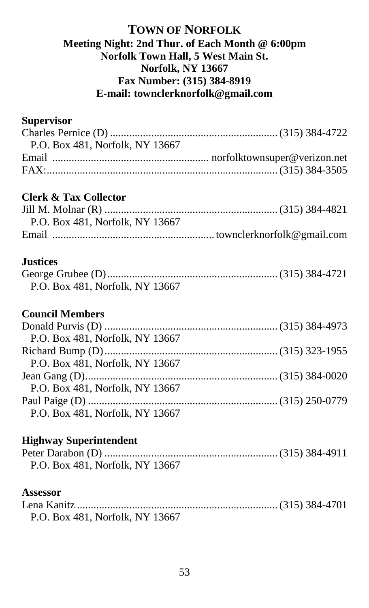## **TOWN OF NORFOLK Meeting Night: 2nd Thur. of Each Month @ 6:00pm Norfolk Town Hall, 5 West Main St. Norfolk, NY 13667 Fax Number: (315) 384-8919 E-mail: townclerknorfolk@gmail.com**

### **Supervisor**

# **Clerk & Tax Collector**

| P.O. Box 481, Norfolk, NY 13667 |  |
|---------------------------------|--|
|                                 |  |

#### **Justices**

| P.O. Box 481, Norfolk, NY 13667 |  |
|---------------------------------|--|

#### **Council Members**

| P.O. Box 481. Norfolk. NY 13667 |  |
|---------------------------------|--|
|                                 |  |
| P.O. Box 481, Norfolk, NY 13667 |  |
|                                 |  |
| P.O. Box 481, Norfolk, NY 13667 |  |
|                                 |  |
| P.O. Box 481, Norfolk, NY 13667 |  |

#### **Highway Superintendent**

| P.O. Box 481, Norfolk, NY 13667 |  |
|---------------------------------|--|

#### **Assessor**

| P.O. Box 481, Norfolk, NY 13667 |  |
|---------------------------------|--|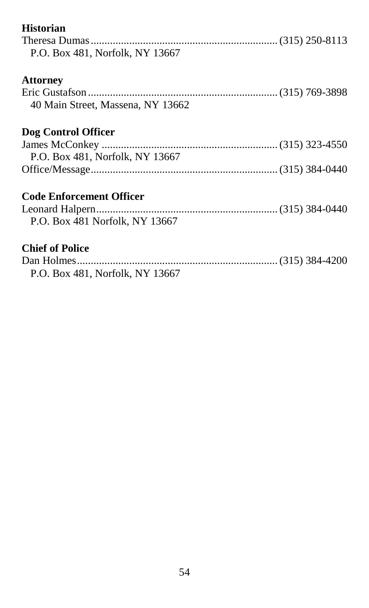| <b>Historian</b>                  |  |
|-----------------------------------|--|
|                                   |  |
| P.O. Box 481, Norfolk, NY 13667   |  |
| <b>Attorney</b>                   |  |
|                                   |  |
| 40 Main Street, Massena, NY 13662 |  |
| Dog Control Officer               |  |
|                                   |  |
| P.O. Box 481, Norfolk, NY 13667   |  |
|                                   |  |
| <b>Code Enforcement Officer</b>   |  |
|                                   |  |
| P.O. Box 481 Norfolk, NY 13667    |  |
| <b>Chief of Police</b>            |  |
|                                   |  |
| P.O. Box 481, Norfolk, NY 13667   |  |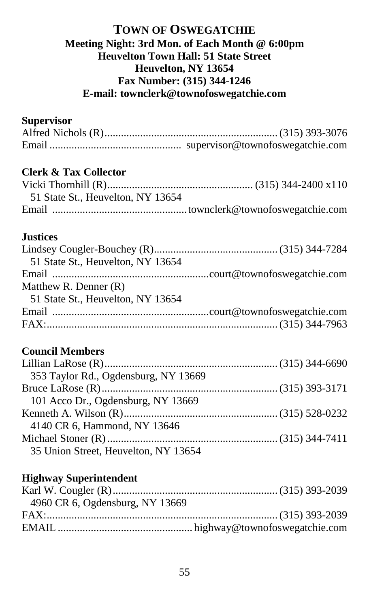## **TOWN OF OSWEGATCHIE Meeting Night: 3rd Mon. of Each Month @ 6:00pm Heuvelton Town Hall: 51 State Street Heuvelton, NY 13654 Fax Number: (315) 344-1246 E-mail: townclerk@townofoswegatchie.com**

# **Supervisor**

# **Clerk & Tax Collector**

| 51 State St., Heuvelton, NY 13654 |  |
|-----------------------------------|--|
|                                   |  |

#### **Justices**

| 51 State St., Heuvelton, NY 13654 |  |
|-----------------------------------|--|
|                                   |  |
| Matthew R. Denner $(R)$           |  |
| 51 State St., Heuvelton, NY 13654 |  |
|                                   |  |
|                                   |  |
|                                   |  |

## **Council Members**

| 353 Taylor Rd., Ogdensburg, NY 13669 |  |
|--------------------------------------|--|
|                                      |  |
| 101 Acco Dr., Ogdensburg, NY 13669   |  |
|                                      |  |
| 4140 CR 6, Hammond, NY 13646         |  |
|                                      |  |
| 35 Union Street, Heuvelton, NY 13654 |  |

| 4960 CR 6, Ogdensburg, NY 13669 |  |
|---------------------------------|--|
|                                 |  |
|                                 |  |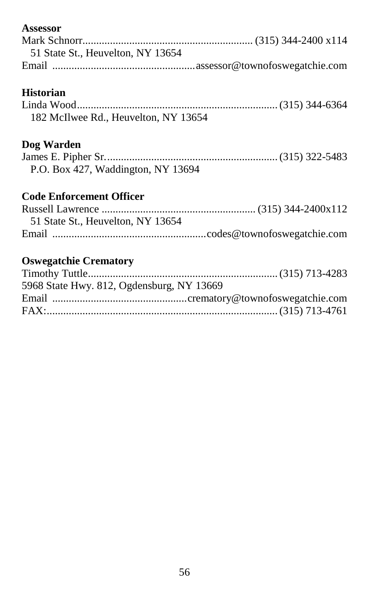# **Assessor** Mark Schnorr.............................................................. (315) 344-2400 x114 51 State St., Heuvelton, NY 13654 Email ....................................................assessor@townofoswegatchie.com

## **Historian**

| 182 McIlwee Rd., Heuvelton, NY 13654 |  |
|--------------------------------------|--|

### **Dog Warden**

| P.O. Box 427, Waddington, NY 13694 |  |  |  |  |
|------------------------------------|--|--|--|--|

# **Code Enforcement Officer**

| 51 State St., Heuvelton, NY 13654 |  |
|-----------------------------------|--|
|                                   |  |

# **Oswegatchie Crematory**

| 5968 State Hwy. 812, Ogdensburg, NY 13669 |  |
|-------------------------------------------|--|
|                                           |  |
|                                           |  |
|                                           |  |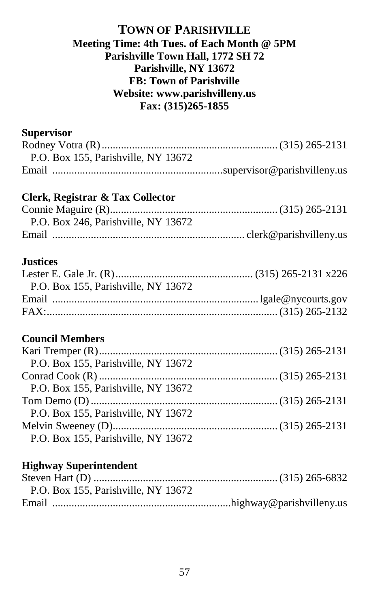### **TOWN OF PARISHVILLE Meeting Time: 4th Tues. of Each Month @ 5PM Parishville Town Hall, 1772 SH 72 Parishville, NY 13672 FB: Town of Parishville Website: www.parishvilleny.us Fax: (315)265-1855**

#### **Supervisor**

| P.O. Box 155, Parishville, NY 13672 |  |
|-------------------------------------|--|
|                                     |  |
| Clerk, Registrar & Tax Collector    |  |
|                                     |  |
| P.O. Box 246, Parishville, NY 13672 |  |
|                                     |  |
| <b>Justices</b>                     |  |
| P.O. Box 155, Parishville, NY 13672 |  |
|                                     |  |
|                                     |  |
| <b>Council Members</b>              |  |
|                                     |  |
| P.O. Box 155, Parishville, NY 13672 |  |
|                                     |  |
| P.O. Box 155, Parishville, NY 13672 |  |
|                                     |  |
| P.O. Box 155, Parishville, NY 13672 |  |
|                                     |  |
| P.O. Box 155, Parishville, NY 13672 |  |

| P.O. Box 155, Parishville, NY 13672 |  |
|-------------------------------------|--|
|                                     |  |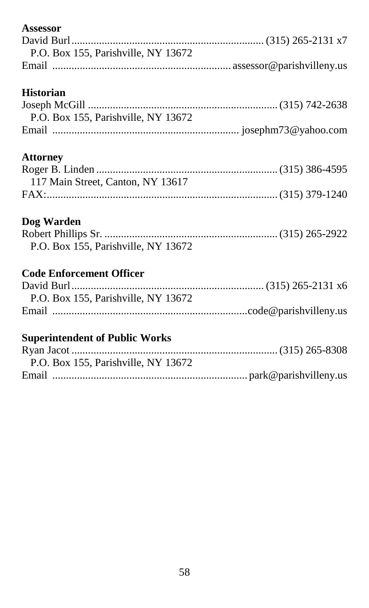# **Assessor**

| P.O. Box 155. Parishville. NY 13672 |
|-------------------------------------|
|                                     |

# **Historian**

| P.O. Box 155, Parishville, NY 13672 |  |
|-------------------------------------|--|
|                                     |  |

## **Attorney**

| 117 Main Street, Canton, NY 13617 |  |
|-----------------------------------|--|
|                                   |  |

## **Dog Warden**

| P.O. Box 155, Parishville, NY 13672 |  |
|-------------------------------------|--|

# **Code Enforcement Officer**

| P.O. Box 155, Parishville, NY 13672 |
|-------------------------------------|
|                                     |

# **Superintendent of Public Works**

| P.O. Box 155, Parishville, NY 13672 |  |
|-------------------------------------|--|
|                                     |  |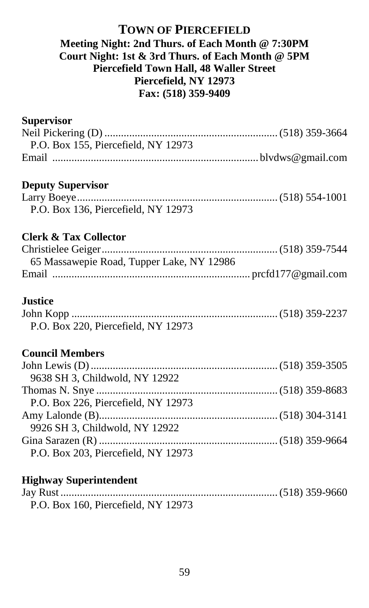### **TOWN OF PIERCEFIELD Meeting Night: 2nd Thurs. of Each Month @ 7:30PM Court Night: 1st & 3rd Thurs. of Each Month @ 5PM Piercefield Town Hall, 48 Waller Street Piercefield, NY 12973 Fax: (518) 359-9409**

#### **Supervisor**

| P.O. Box 155, Piercefield, NY 12973       |  |
|-------------------------------------------|--|
|                                           |  |
| <b>Deputy Supervisor</b>                  |  |
|                                           |  |
| P.O. Box 136, Piercefield, NY 12973       |  |
| Clerk & Tax Collector                     |  |
|                                           |  |
| 65 Massawepie Road, Tupper Lake, NY 12986 |  |
|                                           |  |
| <b>Justice</b>                            |  |
|                                           |  |
| P.O. Box 220, Piercefield, NY 12973       |  |
| <b>Council Members</b>                    |  |
|                                           |  |
| 9638 SH 3, Childwold, NY 12922            |  |
|                                           |  |
| P.O. Box 226, Piercefield, NY 12973       |  |
|                                           |  |
| 9926 SH 3, Childwold, NY 12922            |  |
|                                           |  |
| P.O. Box 203, Piercefield, NY 12973       |  |

| P.O. Box 160, Piercefield, NY 12973 |  |
|-------------------------------------|--|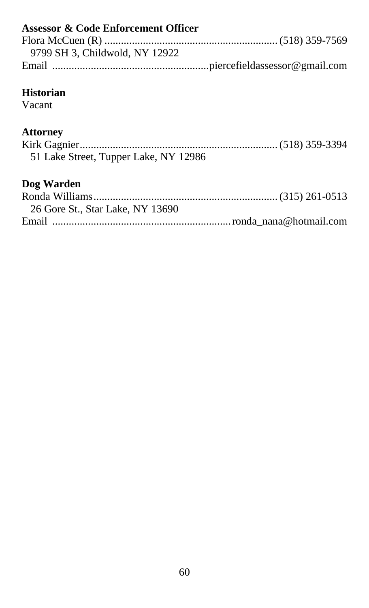| <b>Assessor &amp; Code Enforcement Officer</b> |  |
|------------------------------------------------|--|
|                                                |  |
| 9799 SH 3. Childwold. NY 12922                 |  |
|                                                |  |
|                                                |  |
| Historian                                      |  |

#### **Historian**

Vacant

# **Attorney**

| 51 Lake Street, Tupper Lake, NY 12986 |  |
|---------------------------------------|--|

# **Dog Warden**

| 26 Gore St., Star Lake, NY 13690 |  |
|----------------------------------|--|
|                                  |  |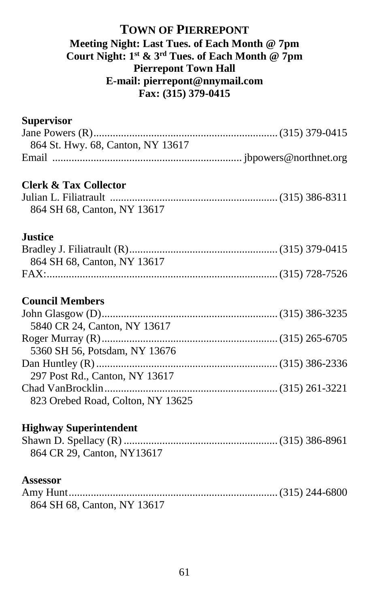#### **TOWN OF PIERREPONT Meeting Night: Last Tues. of Each Month @ 7pm Court Night: 1 st & 3 rd Tues. of Each Month @ 7pm Pierrepont Town Hall E-mail: pierrepont@nnymail.com Fax: (315) 379-0415**

# **Supervisor** Jane Powers (R)...................................................................(315) 379-0415 864 St. Hwy. 68, Canton, NY 13617 Email ..................................................................... jbpowers@northnet.org **Clerk & Tax Collector** Julian L. Filiatrault ............................................................. (315) 386-8311 864 SH 68, Canton, NY 13617 **Justice** Bradley J. Filiatrault (R)...................................................... (315) 379-0415 864 SH 68, Canton, NY 13617 FAX:.................................................................................... (315) 728-7526 **Council Members** John Glasgow (D)................................................................ (315) 386-3235 5840 CR 24, Canton, NY 13617 Roger Murray (R)................................................................ (315) 265-6705 5360 SH 56, Potsdam, NY 13676 Dan Huntley (R)..................................................................(315) 386-2336 297 Post Rd., Canton, NY 13617 Chad VanBrocklin............................................................... (315) 261-3221 823 Orebed Road, Colton, NY 13625

#### **Highway Superintendent**

| 864 CR 29, Canton, NY13617 |  |
|----------------------------|--|

#### **Assessor**

| 864 SH 68, Canton, NY 13617 |  |
|-----------------------------|--|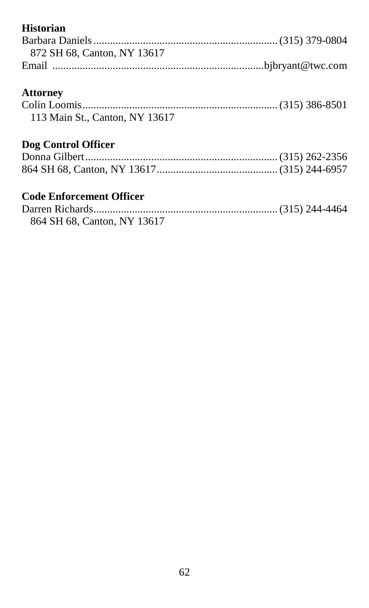## **Historian**

| 872 SH 68, Canton, NY 13617     |  |
|---------------------------------|--|
|                                 |  |
| <b>Attorney</b>                 |  |
|                                 |  |
| 113 Main St., Canton, NY 13617  |  |
| Dog Control Officer             |  |
|                                 |  |
|                                 |  |
| <b>Code Enforcement Officer</b> |  |
|                                 |  |

| 864 SH 68, Canton, NY 13617 |  |
|-----------------------------|--|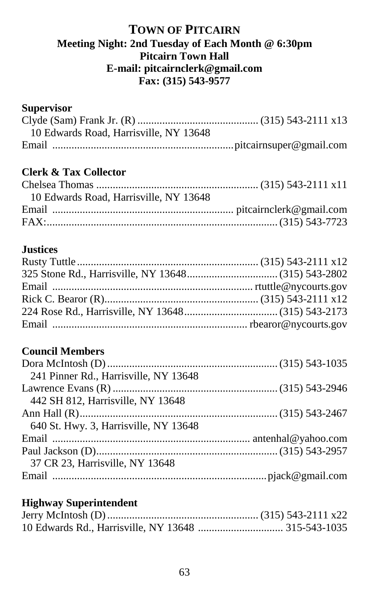## **TOWN OF PITCAIRN Meeting Night: 2nd Tuesday of Each Month @ 6:30pm Pitcairn Town Hall E-mail: pitcairnclerk@gmail.com Fax: (315) 543-9577**

### **Supervisor**

| 10 Edwards Road, Harrisville, NY 13648 |  |
|----------------------------------------|--|
|                                        |  |

# **Clerk & Tax Collector**

| 10 Edwards Road, Harrisville, NY 13648 |  |
|----------------------------------------|--|
|                                        |  |
|                                        |  |
|                                        |  |

## **Justices**

## **Council Members**

| 241 Pinner Rd., Harrisville, NY 13648 |  |
|---------------------------------------|--|
|                                       |  |
| 442 SH 812, Harrisville, NY 13648     |  |
|                                       |  |
| 640 St. Hwy. 3, Harrisville, NY 13648 |  |
|                                       |  |
|                                       |  |
| 37 CR 23, Harrisville, NY 13648       |  |
|                                       |  |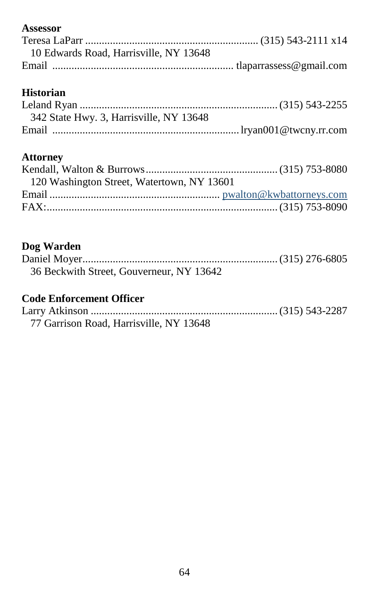## **Assessor**

| 10 Edwards Road, Harrisville, NY 13648 |  |
|----------------------------------------|--|
|                                        |  |

# **Historian**

| 342 State Hwy. 3, Harrisville, NY 13648 |  |
|-----------------------------------------|--|
|                                         |  |

## **Attorney**

| 120 Washington Street, Watertown, NY 13601 |  |
|--------------------------------------------|--|
|                                            |  |
|                                            |  |

# **Dog Warden**

| 36 Beckwith Street, Gouverneur, NY 13642 |  |
|------------------------------------------|--|

| 77 Garrison Road, Harrisville, NY 13648 |  |
|-----------------------------------------|--|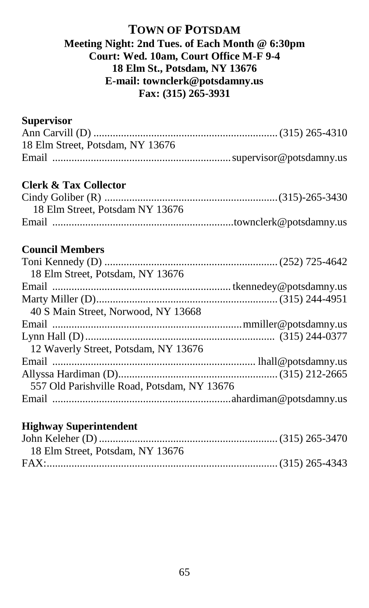## **TOWN OF POTSDAM Meeting Night: 2nd Tues. of Each Month @ 6:30pm Court: Wed. 10am, Court Office M-F 9-4 18 Elm St., Potsdam, NY 13676 E-mail: townclerk@potsdamny.us Fax: (315) 265-3931**

### **Supervisor**

| 18 Elm Street, Potsdam, NY 13676 |  |
|----------------------------------|--|
|                                  |  |

## **Clerk & Tax Collector**

| 18 Elm Street, Potsdam NY 13676 |  |
|---------------------------------|--|
|                                 |  |

## **Council Members**

| 18 Elm Street, Potsdam, NY 13676            |  |
|---------------------------------------------|--|
|                                             |  |
|                                             |  |
| 40 S Main Street, Norwood, NY 13668         |  |
|                                             |  |
|                                             |  |
| 12 Waverly Street, Potsdam, NY 13676        |  |
|                                             |  |
|                                             |  |
| 557 Old Parishville Road, Potsdam, NY 13676 |  |
|                                             |  |
|                                             |  |

| 18 Elm Street, Potsdam, NY 13676 |  |
|----------------------------------|--|
|                                  |  |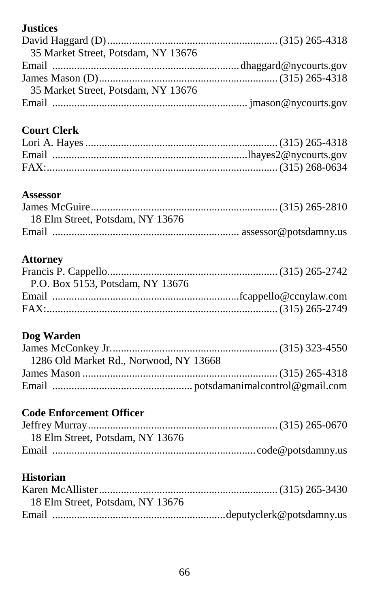# **Justices**

| 35 Market Street, Potsdam, NY 13676 |  |
|-------------------------------------|--|
|                                     |  |
|                                     |  |
| 35 Market Street, Potsdam, NY 13676 |  |
|                                     |  |

# **Court Clerk**

# **Assessor**

| 18 Elm Street, Potsdam, NY 13676 |  |
|----------------------------------|--|
|                                  |  |

## **Attorney**

# **Dog Warden**

| 1286 Old Market Rd., Norwood, NY 13668 |  |
|----------------------------------------|--|
|                                        |  |
|                                        |  |

# **Code Enforcement Officer**

| 18 Elm Street, Potsdam, NY 13676 |  |
|----------------------------------|--|
|                                  |  |

# **Historian**

| 18 Elm Street, Potsdam, NY 13676 |  |
|----------------------------------|--|
|                                  |  |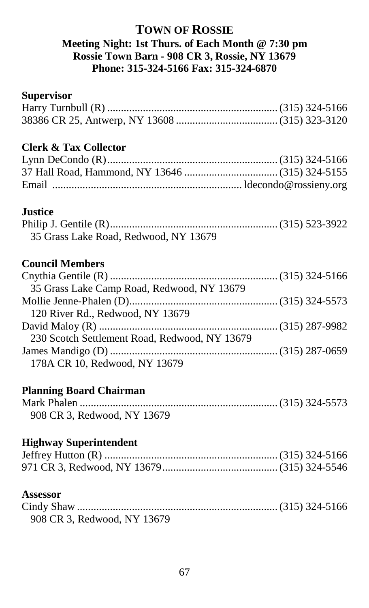## **TOWN OF ROSSIE Meeting Night: 1st Thurs. of Each Month @ 7:30 pm Rossie Town Barn - 908 CR 3, Rossie, NY 13679 Phone: 315-324-5166 Fax: 315-324-6870**

#### **Supervisor**

## **Clerk & Tax Collector**

#### **Justice**

| 35 Grass Lake Road, Redwood, NY 13679 |  |
|---------------------------------------|--|

# **Council Members**

| 35 Grass Lake Camp Road, Redwood, NY 13679    |  |
|-----------------------------------------------|--|
|                                               |  |
| 120 River Rd., Redwood, NY 13679              |  |
|                                               |  |
| 230 Scotch Settlement Road, Redwood, NY 13679 |  |
|                                               |  |
| 178A CR 10, Redwood, NY 13679                 |  |

#### **Planning Board Chairman**

| 908 CR 3, Redwood, NY 13679 |  |
|-----------------------------|--|

#### **Highway Superintendent**

#### **Assessor**

| 908 CR 3, Redwood, NY 13679 |  |
|-----------------------------|--|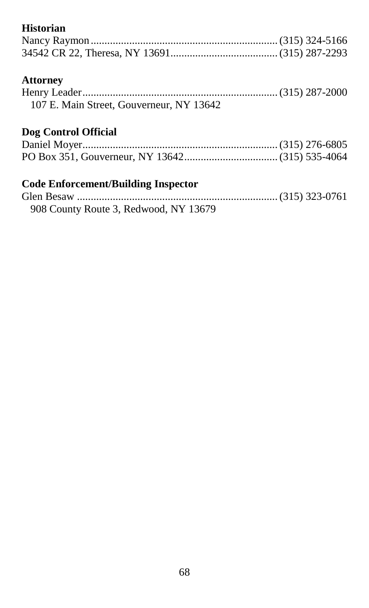# **Historian**

| <b>Attorney</b>                                 |                  |
|-------------------------------------------------|------------------|
| $H_{\text{a}}$ $\ldots$ $H_{\text{a}}$ $\ldots$ | $(215)$ 207 2000 |

| 107 E. Main Street, Gouverneur, NY 13642 |  |
|------------------------------------------|--|

# **Dog Control Official**

# **Code Enforcement/Building Inspector**

| 908 County Route 3, Redwood, NY 13679 |  |
|---------------------------------------|--|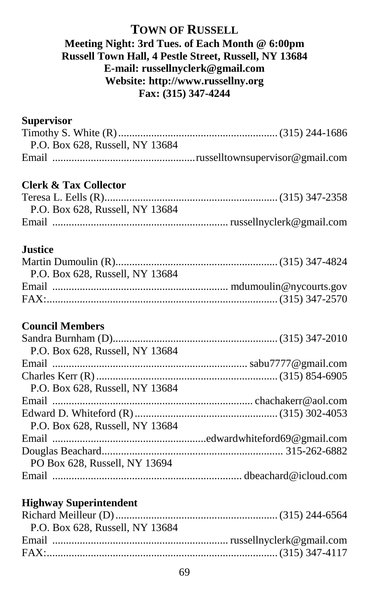## **TOWN OF RUSSELL Meeting Night: 3rd Tues. of Each Month @ 6:00pm Russell Town Hall, 4 Pestle Street, Russell, NY 13684 E-mail: russellnyclerk@gmail.com Website: http://www.russellny.org Fax: (315) 347-4244**

## **Supervisor**

| P.O. Box 628, Russell, NY 13684 |  |
|---------------------------------|--|
|                                 |  |

## **Clerk & Tax Collector**

| P.O. Box 628, Russell, NY 13684 |  |
|---------------------------------|--|
|                                 |  |

## **Justice**

| P.O. Box 628, Russell, NY 13684 |  |
|---------------------------------|--|
|                                 |  |
|                                 |  |
|                                 |  |

## **Council Members**

| P.O. Box 628, Russell, NY 13684 |  |
|---------------------------------|--|
|                                 |  |
|                                 |  |
| P.O. Box 628, Russell, NY 13684 |  |
|                                 |  |
|                                 |  |
| P.O. Box 628, Russell, NY 13684 |  |
|                                 |  |
|                                 |  |
| PO Box 628, Russell, NY 13694   |  |
|                                 |  |

| P.O. Box 628, Russell, NY 13684 |  |
|---------------------------------|--|
|                                 |  |
|                                 |  |
|                                 |  |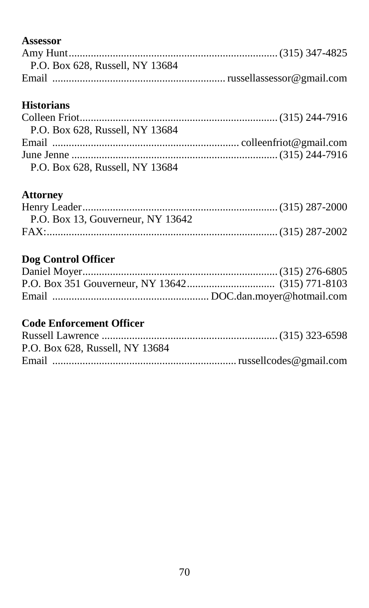## **Assessor**

| P.O. Box 628, Russell, NY 13684 |
|---------------------------------|
|                                 |

# **Historians**

| P.O. Box 628, Russell, NY 13684 |  |
|---------------------------------|--|
|                                 |  |
|                                 |  |
| P.O. Box 628, Russell, NY 13684 |  |

# **Attorney**

| P.O. Box 13, Gouverneur, NY 13642 |  |
|-----------------------------------|--|
|                                   |  |

# **Dog Control Officer**

| P.O. Box 628, Russell, NY 13684 |  |
|---------------------------------|--|
|                                 |  |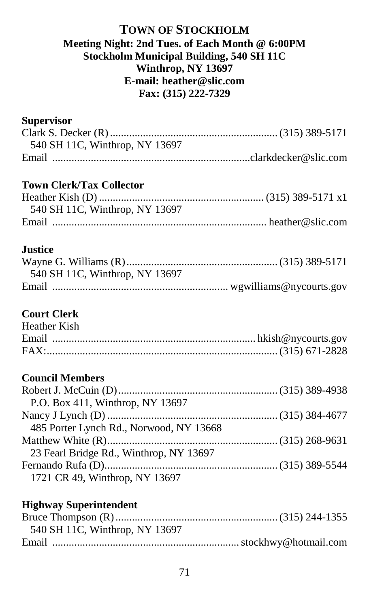### **TOWN OF STOCKHOLM Meeting Night: 2nd Tues. of Each Month @ 6:00PM Stockholm Municipal Building, 540 SH 11C Winthrop, NY 13697 E-mail: heather@slic.com Fax: (315) 222-7329**

### **Supervisor**

| 540 SH 11C, Winthrop, NY 13697 |  |
|--------------------------------|--|
|                                |  |

# **Town Clerk/Tax Collector**

| 540 SH 11C, Winthrop, NY 13697 |  |
|--------------------------------|--|
|                                |  |

## **Justice**

| 540 SH 11C, Winthrop, NY 13697 |  |
|--------------------------------|--|
|                                |  |

## **Court Clerk**

| <b>Heather Kish</b> |  |
|---------------------|--|
|                     |  |
|                     |  |

# **Council Members**

| P.O. Box 411, Winthrop, NY 13697        |  |
|-----------------------------------------|--|
|                                         |  |
| 485 Porter Lynch Rd., Norwood, NY 13668 |  |
|                                         |  |
| 23 Fearl Bridge Rd., Winthrop, NY 13697 |  |
|                                         |  |
| 1721 CR 49, Winthrop, NY 13697          |  |

| 540 SH 11C, Winthrop, NY 13697 |  |
|--------------------------------|--|
|                                |  |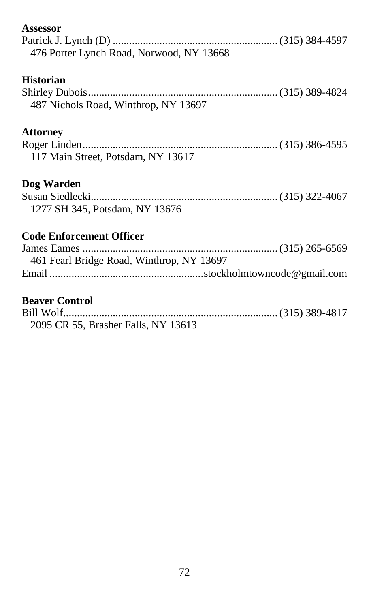| Assessor                                  |  |
|-------------------------------------------|--|
|                                           |  |
| 476 Porter Lynch Road, Norwood, NY 13668  |  |
| <b>Historian</b>                          |  |
|                                           |  |
| 487 Nichols Road, Winthrop, NY 13697      |  |
| <b>Attorney</b>                           |  |
|                                           |  |
| 117 Main Street, Potsdam, NY 13617        |  |
| Dog Warden                                |  |
|                                           |  |
| 1277 SH 345, Potsdam, NY 13676            |  |
| <b>Code Enforcement Officer</b>           |  |
|                                           |  |
| 461 Fearl Bridge Road, Winthrop, NY 13697 |  |
|                                           |  |
| <b>Beaver Control</b>                     |  |
|                                           |  |
| 2095 CR 55, Brasher Falls, NY 13613       |  |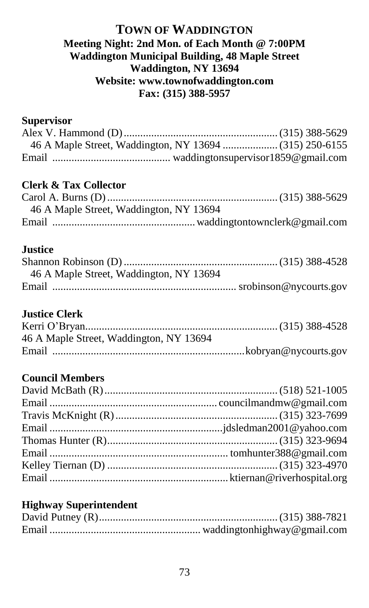#### **TOWN OF WADDINGTON Meeting Night: 2nd Mon. of Each Month @ 7:00PM Waddington Municipal Building, 48 Maple Street Waddington, NY 13694 Website: www.townofwaddington.com Fax: (315) 388-5957**

#### **Supervisor**

## **Clerk & Tax Collector**

| 46 A Maple Street, Waddington, NY 13694 |  |
|-----------------------------------------|--|
|                                         |  |

## **Justice**

| 46 A Maple Street, Waddington, NY 13694 |  |
|-----------------------------------------|--|
|                                         |  |

#### **Justice Clerk**

| 46 A Maple Street, Waddington, NY 13694 |  |
|-----------------------------------------|--|
|                                         |  |

## **Council Members**

#### **Highway Superintendent**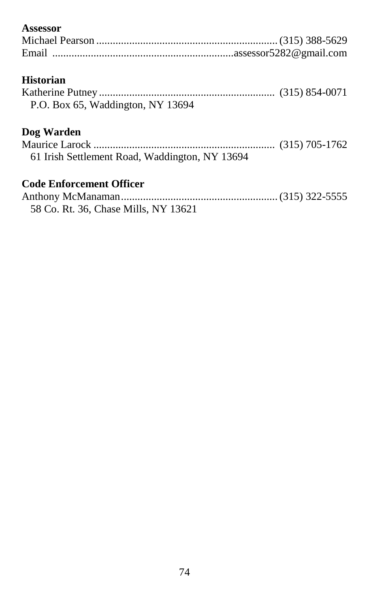## **Assessor**

## **Historian**

| P.O. Box 65, Waddington, NY 13694 |  |
|-----------------------------------|--|

## **Dog Warden**

| 61 Irish Settlement Road, Waddington, NY 13694 |  |
|------------------------------------------------|--|

## **Code Enforcement Officer**

| 58 Co. Rt. 36, Chase Mills, NY 13621 |  |
|--------------------------------------|--|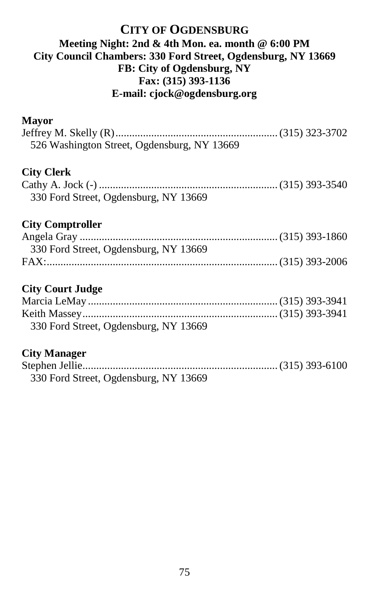## **CITY OF OGDENSBURG Meeting Night: 2nd & 4th Mon. ea. month @ 6:00 PM City Council Chambers: 330 Ford Street, Ogdensburg, NY 13669 FB: City of Ogdensburg, NY Fax: (315) 393-1136 E-mail: cjock@ogdensburg.org**

#### **Mayor**

| 526 Washington Street, Ogdensburg, NY 13669 |  |
|---------------------------------------------|--|
| <b>City Clerk</b>                           |  |
| 330 Ford Street, Ogdensburg, NY 13669       |  |
| <b>City Comptroller</b>                     |  |
| 330 Ford Street, Ogdensburg, NY 13669       |  |
|                                             |  |
| <b>City Court Judge</b>                     |  |
|                                             |  |

| 330 Ford Street, Ogdensburg, NY 13669 |  |
|---------------------------------------|--|

#### **City Manager**

| 330 Ford Street, Ogdensburg, NY 13669 |  |
|---------------------------------------|--|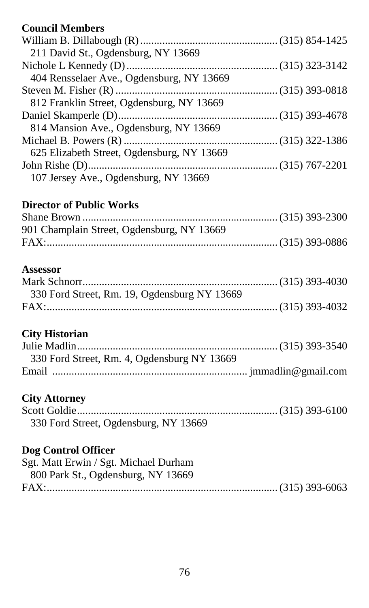## **Council Members**

| 211 David St., Ogdensburg, NY 13669        |  |
|--------------------------------------------|--|
|                                            |  |
| 404 Rensselaer Ave., Ogdensburg, NY 13669  |  |
|                                            |  |
| 812 Franklin Street, Ogdensburg, NY 13669  |  |
|                                            |  |
| 814 Mansion Ave., Ogdensburg, NY 13669     |  |
|                                            |  |
| 625 Elizabeth Street, Ogdensburg, NY 13669 |  |
|                                            |  |
| 107 Jersey Ave., Ogdensburg, NY 13669      |  |
|                                            |  |

## **Director of Public Works**

| 901 Champlain Street, Ogdensburg, NY 13669 |  |
|--------------------------------------------|--|
|                                            |  |

## **Assessor**

| 330 Ford Street, Rm. 19, Ogdensburg NY 13669 |  |
|----------------------------------------------|--|
|                                              |  |

## **City Historian**

| 330 Ford Street, Rm. 4, Ogdensburg NY 13669 |  |
|---------------------------------------------|--|
|                                             |  |

## **City Attorney**

| 330 Ford Street, Ogdensburg, NY 13669 |  |
|---------------------------------------|--|

## **Dog Control Officer**

| Sgt. Matt Erwin / Sgt. Michael Durham |  |
|---------------------------------------|--|
| 800 Park St., Ogdensburg, NY 13669    |  |
|                                       |  |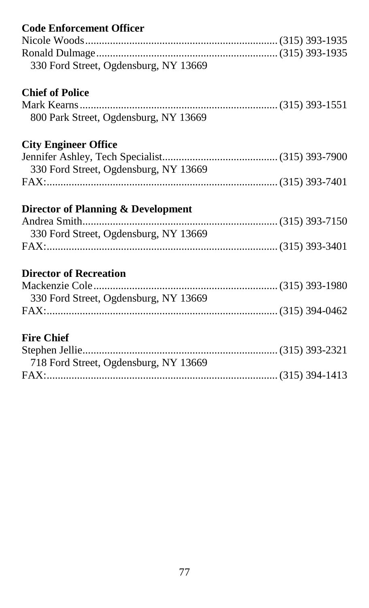| <b>Code Enforcement Officer</b>       |  |
|---------------------------------------|--|
|                                       |  |
|                                       |  |
| 330 Ford Street, Ogdensburg, NY 13669 |  |
| <b>Chief of Police</b>                |  |
|                                       |  |
| 800 Park Street, Ogdensburg, NY 13669 |  |
| <b>City Engineer Office</b>           |  |
|                                       |  |
| 330 Ford Street, Ogdensburg, NY 13669 |  |
|                                       |  |
| Director of Planning & Development    |  |
|                                       |  |
|                                       |  |
| 330 Ford Street, Ogdensburg, NY 13669 |  |
|                                       |  |
| <b>Director of Recreation</b>         |  |
|                                       |  |
|                                       |  |
| 330 Ford Street, Ogdensburg, NY 13669 |  |
| <b>Fire Chief</b>                     |  |
|                                       |  |
| 718 Ford Street, Ogdensburg, NY 13669 |  |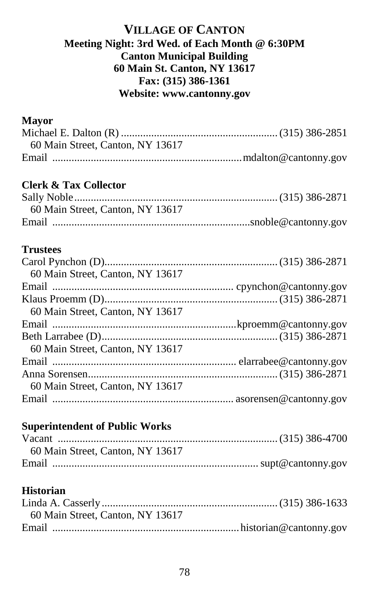## **VILLAGE OF CANTON Meeting Night: 3rd Wed. of Each Month @ 6:30PM Canton Municipal Building 60 Main St. Canton, NY 13617 Fax: (315) 386-1361 Website: www.cantonny.gov**

#### **Mayor**

| 60 Main Street, Canton, NY 13617 |  |
|----------------------------------|--|
|                                  |  |

## **Clerk & Tax Collector**

| 60 Main Street, Canton, NY 13617 |  |
|----------------------------------|--|
|                                  |  |

## **Trustees**

| 60 Main Street, Canton, NY 13617 |  |
|----------------------------------|--|
|                                  |  |
|                                  |  |
| 60 Main Street, Canton, NY 13617 |  |
|                                  |  |
|                                  |  |
| 60 Main Street, Canton, NY 13617 |  |
|                                  |  |
|                                  |  |
| 60 Main Street, Canton, NY 13617 |  |
|                                  |  |

## **Superintendent of Public Works**

| 60 Main Street, Canton, NY 13617 |  |
|----------------------------------|--|
|                                  |  |

#### **Historian**

| 60 Main Street, Canton, NY 13617 |  |
|----------------------------------|--|
|                                  |  |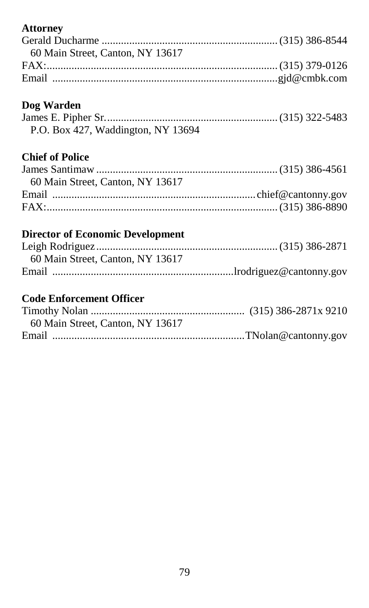## **Attorney**

| 60 Main Street, Canton, NY 13617 |  |
|----------------------------------|--|
|                                  |  |
|                                  |  |
|                                  |  |

## **Dog Warden**

| P.O. Box 427, Waddington, NY 13694 |  |
|------------------------------------|--|

## **Chief of Police**

| 60 Main Street, Canton, NY 13617 |  |
|----------------------------------|--|
|                                  |  |
|                                  |  |

## **Director of Economic Development**

| 60 Main Street, Canton, NY 13617 |  |
|----------------------------------|--|
|                                  |  |

## **Code Enforcement Officer**

| 60 Main Street, Canton, NY 13617 |  |
|----------------------------------|--|
|                                  |  |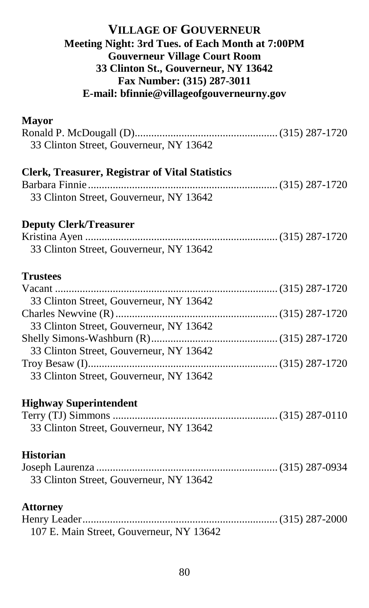## **VILLAGE OF GOUVERNEUR Meeting Night: 3rd Tues. of Each Month at 7:00PM Gouverneur Village Court Room 33 Clinton St., Gouverneur, NY 13642 Fax Number: (315) 287-3011 E-mail: bfinnie@villageofgouverneurny.gov**

#### **Mayor**

| 33 Clinton Street, Gouverneur, NY 13642                                                    |  |
|--------------------------------------------------------------------------------------------|--|
| Clerk, Treasurer, Registrar of Vital Statistics<br>33 Clinton Street, Gouverneur, NY 13642 |  |
| <b>Deputy Clerk/Treasurer</b><br>33 Clinton Street, Gouverneur, NY 13642                   |  |
| <b>Trustees</b>                                                                            |  |
| 33 Clinton Street, Gouverneur, NY 13642<br>33 Clinton Street, Gouverneur, NY 13642         |  |
| 33 Clinton Street, Gouverneur, NY 13642                                                    |  |
| 33 Clinton Street, Gouverneur, NY 13642                                                    |  |
| <b>Highway Superintendent</b><br>33 Clinton Street, Gouverneur, NY 13642                   |  |
| <b>Historian</b><br>33 Clinton Street, Gouverneur, NY 13642                                |  |
| <b>Attorney</b>                                                                            |  |

Henry Leader....................................................................... (315) 287-2000 107 E. Main Street, Gouverneur, NY 13642

80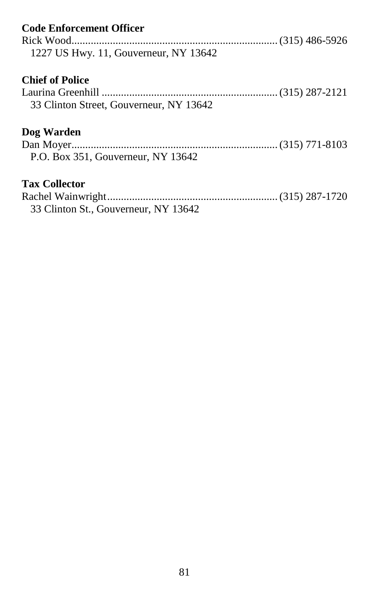| <b>Code Enforcement Officer</b><br>1227 US Hwy. 11, Gouverneur, NY 13642 |  |
|--------------------------------------------------------------------------|--|
| <b>Chief of Police</b><br>33 Clinton Street, Gouverneur, NY 13642        |  |
| Dog Warden<br>P.O. Box 351, Gouverneur, NY 13642                         |  |
| <b>Tax Collector</b><br>33 Clinton St., Gouverneur, NY 13642             |  |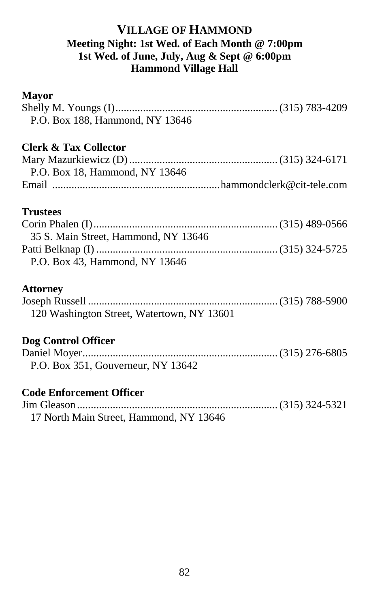## **VILLAGE OF HAMMOND Meeting Night: 1st Wed. of Each Month @ 7:00pm 1st Wed. of June, July, Aug & Sept @ 6:00pm Hammond Village Hall**

#### **Mayor**

| P.O. Box 188, Hammond, NY 13646            |  |
|--------------------------------------------|--|
| <b>Clerk &amp; Tax Collector</b>           |  |
|                                            |  |
| P.O. Box 18, Hammond, NY 13646             |  |
|                                            |  |
| <b>Trustees</b>                            |  |
|                                            |  |
| 35 S. Main Street, Hammond, NY 13646       |  |
|                                            |  |
| P.O. Box 43, Hammond, NY 13646             |  |
| <b>Attorney</b>                            |  |
|                                            |  |
| 120 Washington Street, Watertown, NY 13601 |  |
| Dog Control Officer                        |  |
|                                            |  |
| P.O. Box 351, Gouverneur, NY 13642         |  |
| <b>Code Enforcement Officer</b>            |  |
|                                            |  |
| 17 North Main Street, Hammond, NY 13646    |  |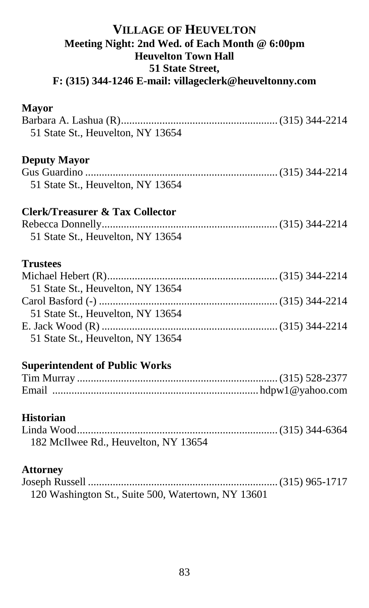#### **VILLAGE OF HEUVELTON Meeting Night: 2nd Wed. of Each Month @ 6:00pm Heuvelton Town Hall 51 State Street, F: (315) 344-1246 E-mail: villageclerk@heuveltonny.com**

#### **Mayor**

| 51 State St., Heuvelton, NY 13654 |  |
|-----------------------------------|--|
|                                   |  |
| <b>Deputy Mayor</b>               |  |
|                                   |  |
| 51 State St., Heuvelton, NY 13654 |  |
| Clerk/Treasurer & Tax Collector   |  |
|                                   |  |
| 51 State St., Heuvelton, NY 13654 |  |
| <b>Trustees</b>                   |  |
|                                   |  |
| 51 State St., Heuvelton, NY 13654 |  |
|                                   |  |
| 51 State St., Heuvelton, NY 13654 |  |
|                                   |  |
| 51 State St., Heuvelton, NY 13654 |  |

## **Superintendent of Public Works**

#### **Historian**

| 182 McIlwee Rd., Heuvelton, NY 13654 |  |
|--------------------------------------|--|

#### **Attorney**

| 120 Washington St., Suite 500, Watertown, NY 13601 |  |
|----------------------------------------------------|--|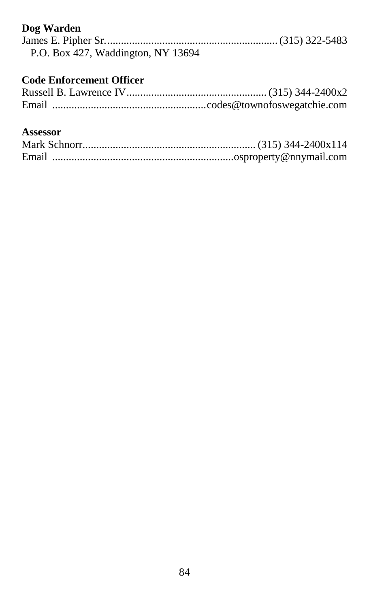## **Dog Warden**

| P.O. Box 427, Waddington, NY 13694 |  |
|------------------------------------|--|

## **Code Enforcement Officer**

#### **Assessor**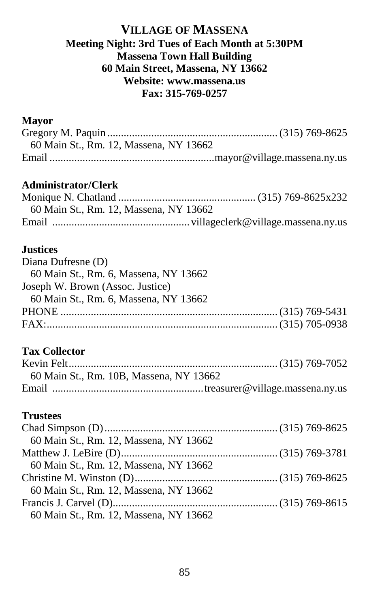#### **VILLAGE OF MASSENA Meeting Night: 3rd Tues of Each Month at 5:30PM Massena Town Hall Building 60 Main Street, Massena, NY 13662 Website: www.massena.us Fax: 315-769-0257**

#### **Mayor**

| 60 Main St., Rm. 12, Massena, NY 13662 |  |
|----------------------------------------|--|
|                                        |  |

#### **Administrator/Clerk**

| 60 Main St., Rm. 12, Massena, NY 13662 |  |
|----------------------------------------|--|
|                                        |  |

#### **Justices**

| Diana Dufresne (D)                    |
|---------------------------------------|
| 60 Main St., Rm. 6, Massena, NY 13662 |
| Joseph W. Brown (Assoc. Justice)      |
| 60 Main St., Rm. 6, Massena, NY 13662 |
|                                       |
|                                       |
|                                       |

## **Tax Collector**

| 60 Main St., Rm. 10B, Massena, NY 13662 |
|-----------------------------------------|
|                                         |

## **Trustees**

| 60 Main St., Rm. 12, Massena, NY 13662 |  |
|----------------------------------------|--|
|                                        |  |
| 60 Main St., Rm. 12, Massena, NY 13662 |  |
|                                        |  |
| 60 Main St., Rm. 12, Massena, NY 13662 |  |
|                                        |  |
| 60 Main St., Rm. 12, Massena, NY 13662 |  |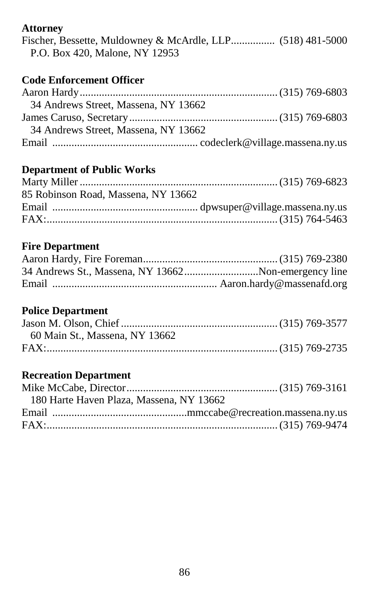## **Attorney**

|  |                                |  | Fischer, Bessette, Muldowney & McArdle, LLP (518) 481-5000 |
|--|--------------------------------|--|------------------------------------------------------------|
|  | P.O. Box 420, Malone, NY 12953 |  |                                                            |

## **Code Enforcement Officer**

| 34 Andrews Street, Massena, NY 13662 |  |
|--------------------------------------|--|
|                                      |  |
| 34 Andrews Street, Massena, NY 13662 |  |
|                                      |  |

## **Department of Public Works**

| 85 Robinson Road, Massena, NY 13662 |  |
|-------------------------------------|--|
|                                     |  |
|                                     |  |
|                                     |  |

#### **Fire Department**

| 34 Andrews St., Massena, NY 13662Non-emergency line |
|-----------------------------------------------------|
|                                                     |

## **Police Department**

| 60 Main St., Massena, NY 13662 |  |
|--------------------------------|--|
|                                |  |

## **Recreation Department**

| 180 Harte Haven Plaza, Massena, NY 13662 |  |  |
|------------------------------------------|--|--|
|                                          |  |  |
|                                          |  |  |
|                                          |  |  |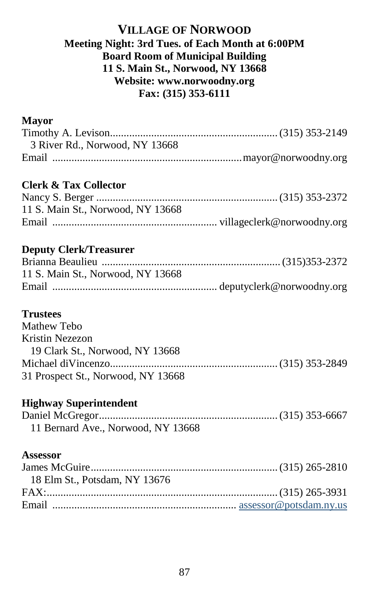## **VILLAGE OF NORWOOD Meeting Night: 3rd Tues. of Each Month at 6:00PM Board Room of Municipal Building 11 S. Main St., Norwood, NY 13668 Website: www.norwoodny.org Fax: (315) 353-6111**

#### **Mayor**

| 3 River Rd., Norwood, NY 13668 |  |
|--------------------------------|--|
|                                |  |

## **Clerk & Tax Collector**

| 11 S. Main St., Norwood, NY 13668 |  |
|-----------------------------------|--|
|                                   |  |

## **Deputy Clerk/Treasurer**

| 11 S. Main St., Norwood, NY 13668 |  |
|-----------------------------------|--|
|                                   |  |

#### **Trustees**

| Mathew Tebo                        |  |
|------------------------------------|--|
| Kristin Nezezon                    |  |
| 19 Clark St., Norwood, NY 13668    |  |
|                                    |  |
| 31 Prospect St., Norwood, NY 13668 |  |

## **Highway Superintendent**

| 11 Bernard Ave., Norwood, NY 13668 |  |
|------------------------------------|--|

#### **Assessor**

| 18 Elm St., Potsdam, NY 13676 |  |
|-------------------------------|--|
|                               |  |
|                               |  |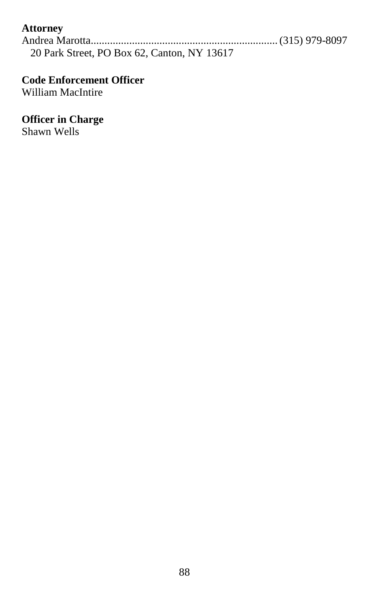## **Attorney**

Andrea Marotta....................................................................(315) 979-8097 20 Park Street, PO Box 62, Canton, NY 13617

## **Code Enforcement Officer**

William MacIntire

#### **Officer in Charge**

Shawn Wells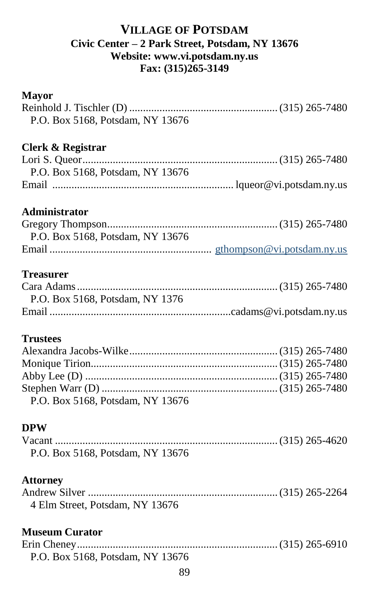## **VILLAGE OF POTSDAM Civic Center – 2 Park Street, Potsdam, NY 13676 Website: www.vi.potsdam.ny.us Fax: (315)265-3149**

#### **Mayor**

| P.O. Box 5168, Potsdam, NY 13676                                |  |
|-----------------------------------------------------------------|--|
| Clerk & Registrar<br>P.O. Box 5168, Potsdam, NY 13676           |  |
| Administrator<br>P.O. Box 5168, Potsdam, NY 13676               |  |
| <b>Treasurer</b><br>P.O. Box 5168, Potsdam, NY 1376             |  |
| <b>Trustees</b><br>P.O. Box 5168, Potsdam, NY 13676             |  |
| <b>DPW</b><br>P.O. Box 5168, Potsdam, NY 13676                  |  |
| <b>Attorney</b><br>4 Elm Street, Potsdam, NY 13676              |  |
| <b>Museum Curator</b><br>P.O. Box 5168, Potsdam, NY 13676<br>89 |  |
|                                                                 |  |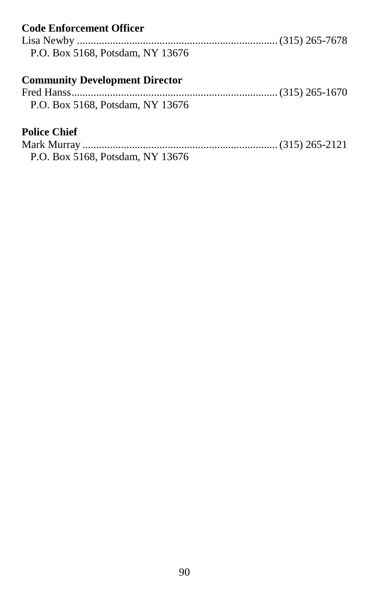| <b>Code Enforcement Officer</b>       |  |
|---------------------------------------|--|
|                                       |  |
| P.O. Box 5168, Potsdam, NY 13676      |  |
| <b>Community Development Director</b> |  |
|                                       |  |
| P.O. Box 5168. Potsdam. NY 13676      |  |
| <b>Police Chief</b>                   |  |
|                                       |  |
| P.O. Box 5168, Potsdam, NY 13676      |  |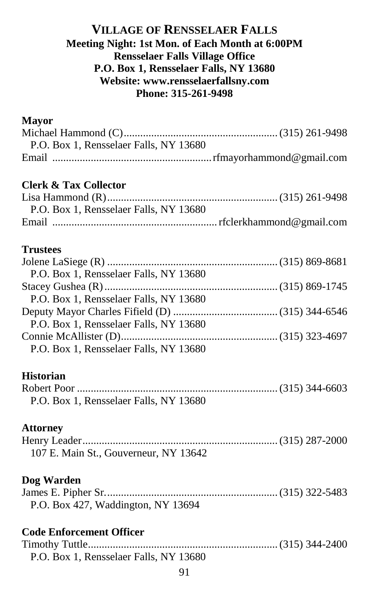#### **VILLAGE OF RENSSELAER FALLS Meeting Night: 1st Mon. of Each Month at 6:00PM Rensselaer Falls Village Office P.O. Box 1, Rensselaer Falls, NY 13680 Website: www.rensselaerfallsny.com Phone: 315-261-9498**

#### **Mayor**

| P.O. Box 1. Rensselaer Falls, NY 13680 |  |
|----------------------------------------|--|
|                                        |  |

#### **Clerk & Tax Collector**

| P.O. Box 1, Rensselaer Falls, NY 13680 |  |
|----------------------------------------|--|
|                                        |  |

#### **Trustees**

| P.O. Box 1, Rensselaer Falls, NY 13680 |  |
|----------------------------------------|--|
|                                        |  |
| P.O. Box 1, Rensselaer Falls, NY 13680 |  |
|                                        |  |
| P.O. Box 1, Rensselaer Falls, NY 13680 |  |
|                                        |  |
| P.O. Box 1, Rensselaer Falls, NY 13680 |  |

#### **Historian**

| P.O. Box 1, Rensselaer Falls, NY 13680 |  |
|----------------------------------------|--|

#### **Attorney**

| 107 E. Main St., Gouverneur, NY 13642 |  |
|---------------------------------------|--|

#### **Dog Warden**

| P.O. Box 427, Waddington, NY 13694 |  |
|------------------------------------|--|

#### **Code Enforcement Officer**

Timothy Tuttle.....................................................................(315) 344-2400 P.O. Box 1, Rensselaer Falls, NY 13680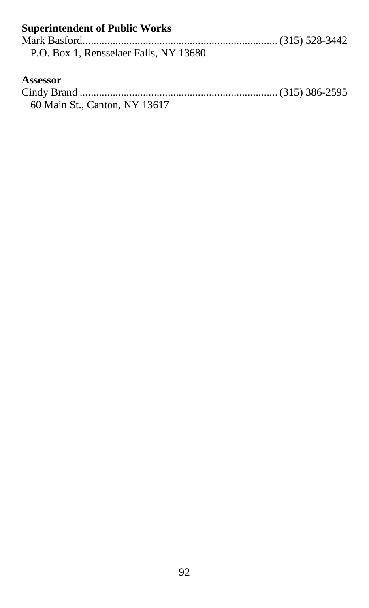| <b>Superintendent of Public Works</b>  |  |
|----------------------------------------|--|
|                                        |  |
| P.O. Box 1. Rensselaer Falls. NY 13680 |  |
|                                        |  |
| Assessor                               |  |
|                                        |  |
| 60 Main St., Canton, NY 13617          |  |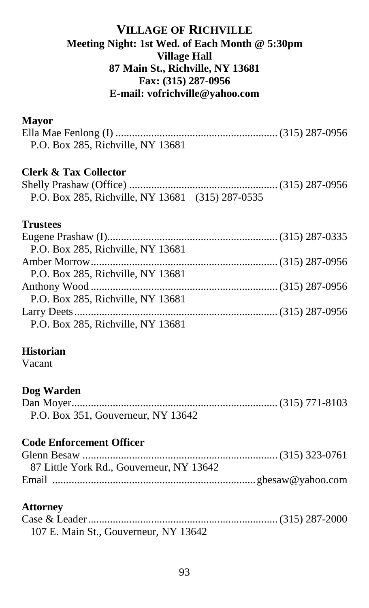## **VILLAGE OF RICHVILLE Meeting Night: 1st Wed. of Each Month @ 5:30pm Village Hall 87 Main St., Richville, NY 13681 Fax: (315) 287-0956 E-mail: vofrichville@yahoo.com**

#### **Mayor**

| P.O. Box 285, Richville, NY 13681 |  |
|-----------------------------------|--|

## **Clerk & Tax Collector**

| P.O. Box 285, Richville, NY 13681 (315) 287-0535 |  |
|--------------------------------------------------|--|

#### **Trustees**

| P.O. Box 285, Richville, NY 13681 |  |
|-----------------------------------|--|
|                                   |  |
| P.O. Box 285, Richville, NY 13681 |  |
|                                   |  |
| P.O. Box 285, Richville, NY 13681 |  |
|                                   |  |
| P.O. Box 285, Richville, NY 13681 |  |

#### **Historian**

Vacant

#### **Dog Warden**

| P.O. Box 351, Gouverneur, NY 13642 |  |
|------------------------------------|--|

## **Code Enforcement Officer**

| 87 Little York Rd., Gouverneur, NY 13642 |  |
|------------------------------------------|--|
|                                          |  |

## **Attorney**

| 107 E. Main St., Gouverneur, NY 13642 |  |
|---------------------------------------|--|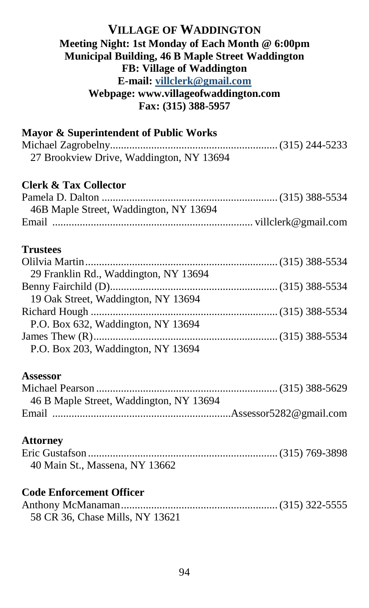#### **VILLAGE OF WADDINGTON Meeting Night: 1st Monday of Each Month @ 6:00pm Municipal Building, 46 B Maple Street Waddington FB: Village of Waddington E-mail: [villclerk@gmail.com](mailto:villclerk@gmail.com) Webpage: www.villageofwaddington.com Fax: (315) 388-5957**

| Mayor & Superintendent of Public Works   |  |
|------------------------------------------|--|
|                                          |  |
| 27 Brookview Drive, Waddington, NY 13694 |  |
| <b>Clerk &amp; Tax Collector</b>         |  |
|                                          |  |
| 46B Maple Street, Waddington, NY 13694   |  |
|                                          |  |
| <b>Trustees</b>                          |  |
|                                          |  |
| 29 Franklin Rd., Waddington, NY 13694    |  |
|                                          |  |
| 19 Oak Street, Waddington, NY 13694      |  |
|                                          |  |
| P.O. Box 632, Waddington, NY 13694       |  |
|                                          |  |
| P.O. Box 203, Waddington, NY 13694       |  |
| Assessor                                 |  |
|                                          |  |
| 46 B Maple Street, Waddington, NY 13694  |  |
|                                          |  |
| <b>Attorney</b>                          |  |
|                                          |  |
| 40 Main St., Massena, NY 13662           |  |
| <b>Code Enforcement Officer</b>          |  |
|                                          |  |
| 58 CR 36, Chase Mills, NY 13621          |  |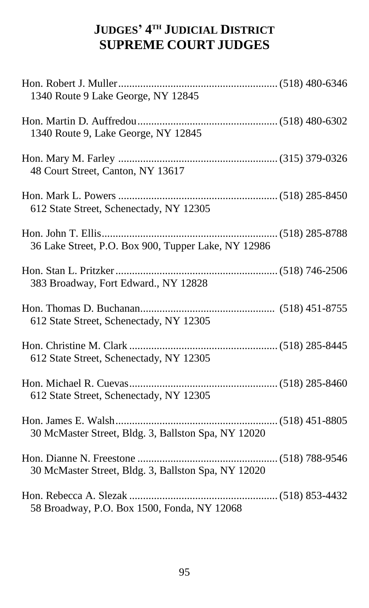## **JUDGES' 4 TH JUDICIAL DISTRICT SUPREME COURT JUDGES**

| 1340 Route 9 Lake George, NY 12845                  |  |
|-----------------------------------------------------|--|
| 1340 Route 9, Lake George, NY 12845                 |  |
| 48 Court Street, Canton, NY 13617                   |  |
| 612 State Street, Schenectady, NY 12305             |  |
| 36 Lake Street, P.O. Box 900, Tupper Lake, NY 12986 |  |
| 383 Broadway, Fort Edward., NY 12828                |  |
| 612 State Street, Schenectady, NY 12305             |  |
| 612 State Street, Schenectady, NY 12305             |  |
| 612 State Street, Schenectady, NY 12305             |  |
| 30 McMaster Street, Bldg. 3, Ballston Spa, NY 12020 |  |
| 30 McMaster Street, Bldg. 3, Ballston Spa, NY 12020 |  |
| 58 Broadway, P.O. Box 1500, Fonda, NY 12068         |  |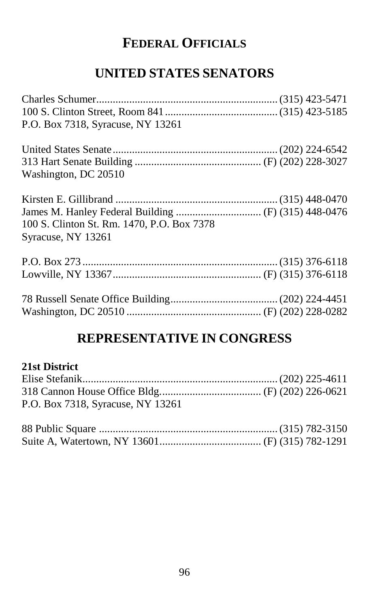# **FEDERAL OFFICIALS**

# **UNITED STATES SENATORS**

| P.O. Box 7318, Syracuse, NY 13261          |  |
|--------------------------------------------|--|
|                                            |  |
|                                            |  |
| Washington, DC 20510                       |  |
|                                            |  |
|                                            |  |
| 100 S. Clinton St. Rm. 1470, P.O. Box 7378 |  |
| Syracuse, NY 13261                         |  |
|                                            |  |
|                                            |  |
|                                            |  |
|                                            |  |

## **REPRESENTATIVE IN CONGRESS**

## **21st District**

| P.O. Box 7318, Syracuse, NY 13261 |  |
|-----------------------------------|--|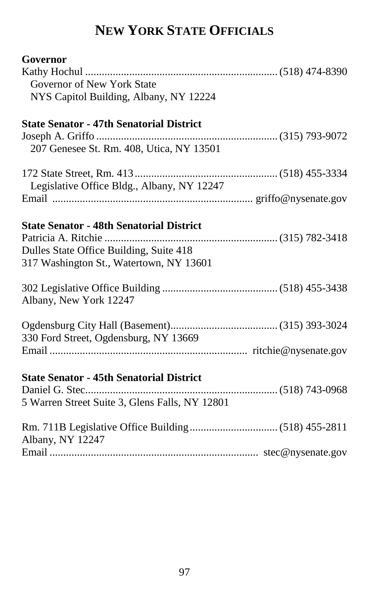# **NEW YORK STATE OFFICIALS**

| Governor                                        |  |
|-------------------------------------------------|--|
|                                                 |  |
| Governor of New York State                      |  |
| NYS Capitol Building, Albany, NY 12224          |  |
| <b>State Senator - 47th Senatorial District</b> |  |
|                                                 |  |
| 207 Genesee St. Rm. 408, Utica, NY 13501        |  |
|                                                 |  |
| Legislative Office Bldg., Albany, NY 12247      |  |
|                                                 |  |
| <b>State Senator - 48th Senatorial District</b> |  |
|                                                 |  |
| Dulles State Office Building, Suite 418         |  |
| 317 Washington St., Watertown, NY 13601         |  |
|                                                 |  |
| Albany, New York 12247                          |  |
|                                                 |  |
| 330 Ford Street, Ogdensburg, NY 13669           |  |
|                                                 |  |
| <b>State Senator - 45th Senatorial District</b> |  |
|                                                 |  |
| 5 Warren Street Suite 3, Glens Falls, NY 12801  |  |
|                                                 |  |
| Albany, NY 12247                                |  |
|                                                 |  |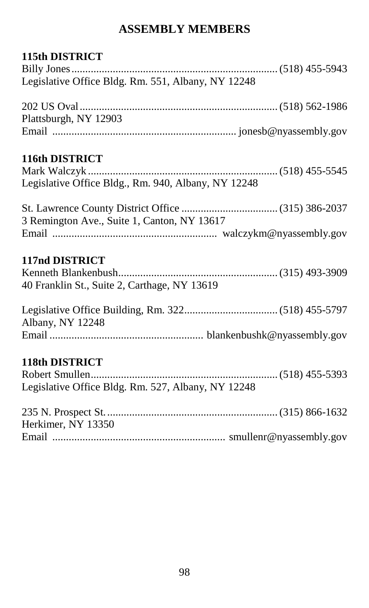## **ASSEMBLY MEMBERS**

## **115th DISTRICT**

| Legislative Office Bldg. Rm. 551, Albany, NY 12248  |  |
|-----------------------------------------------------|--|
|                                                     |  |
| Plattsburgh, NY 12903                               |  |
|                                                     |  |
| 116th DISTRICT                                      |  |
|                                                     |  |
| Legislative Office Bldg., Rm. 940, Albany, NY 12248 |  |
|                                                     |  |
| 3 Remington Ave., Suite 1, Canton, NY 13617         |  |
|                                                     |  |
| 117nd DISTRICT                                      |  |
| 40 Franklin St., Suite 2, Carthage, NY 13619        |  |
|                                                     |  |
|                                                     |  |
| Albany, NY 12248                                    |  |
|                                                     |  |
| <b>118th DISTRICT</b>                               |  |
|                                                     |  |
| Legislative Office Bldg. Rm. 527, Albany, NY 12248  |  |
|                                                     |  |
| Herkimer, NY 13350                                  |  |
|                                                     |  |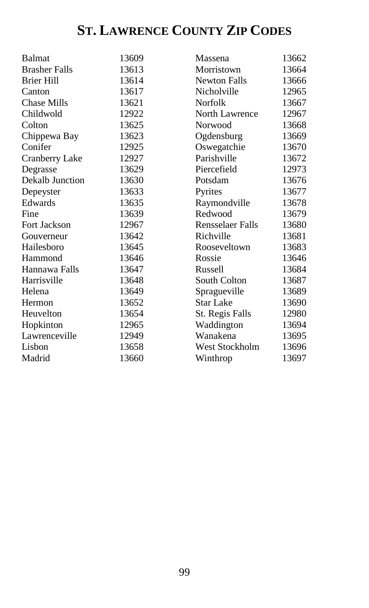# **ST. LAWRENCE COUNTY ZIP CODES**

| <b>Balmat</b>        | 13609 | Massena                 | 13662 |
|----------------------|-------|-------------------------|-------|
| <b>Brasher Falls</b> | 13613 | Morristown              | 13664 |
| <b>Brier Hill</b>    | 13614 | <b>Newton Falls</b>     | 13666 |
| Canton               | 13617 | Nicholville             | 12965 |
| <b>Chase Mills</b>   | 13621 | Norfolk                 | 13667 |
| Childwold            | 12922 | North Lawrence          | 12967 |
| Colton               | 13625 | Norwood                 | 13668 |
| Chippewa Bay         | 13623 | Ogdensburg              | 13669 |
| Conifer              | 12925 | Oswegatchie             | 13670 |
| Cranberry Lake       | 12927 | Parishville             | 13672 |
| Degrasse             | 13629 | Piercefield             | 12973 |
| Dekalb Junction      | 13630 | Potsdam                 | 13676 |
| Depeyster            | 13633 | Pyrites                 | 13677 |
| Edwards              | 13635 | Raymondville            | 13678 |
| Fine                 | 13639 | Redwood                 | 13679 |
| <b>Fort Jackson</b>  | 12967 | <b>Rensselaer Falls</b> | 13680 |
| Gouverneur           | 13642 | Richville               | 13681 |
| Hailesboro           | 13645 | Rooseveltown            | 13683 |
| Hammond              | 13646 | Rossie                  | 13646 |
| Hannawa Falls        | 13647 | Russell                 | 13684 |
| Harrisville          | 13648 | South Colton            | 13687 |
| Helena               | 13649 | Spragueville            | 13689 |
| Hermon               | 13652 | Star Lake               | 13690 |
| Heuvelton            | 13654 | St. Regis Falls         | 12980 |
| Hopkinton            | 12965 | Waddington              | 13694 |
| Lawrenceville        | 12949 | Wanakena                | 13695 |
| Lisbon               | 13658 | West Stockholm          | 13696 |
| Madrid               | 13660 | Winthrop                | 13697 |